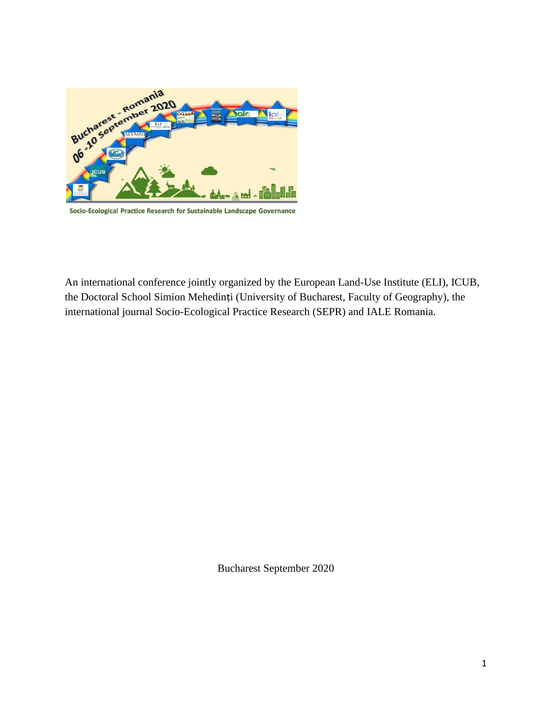

Socio-Ecological Practice Research for Sustainable Landscape Governance

An international conference jointly organized by the European Land-Use Institute (ELI), ICUB, the Doctoral School Simion Mehedinți (University of Bucharest, Faculty of Geography), the international journal Socio-Ecological Practice Research (SEPR) and IALE Romania.

Bucharest September 2020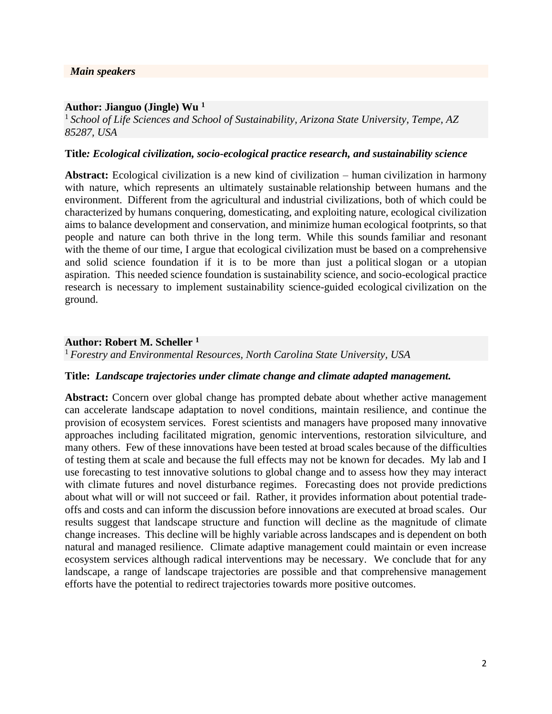#### **Author: Jianguo (Jingle) Wu <sup>1</sup>**

1 *School of Life Sciences and School of Sustainability, Arizona State University, Tempe, AZ 85287, USA*

#### **Title***: Ecological civilization, socio-ecological practice research, and sustainability science*

**Abstract:** Ecological civilization is a new kind of civilization – human civilization in harmony with nature, which represents an ultimately sustainable relationship between humans and the environment. Different from the agricultural and industrial civilizations, both of which could be characterized by humans conquering, domesticating, and exploiting nature, ecological civilization aims to balance development and conservation, and minimize human ecological footprints, so that people and nature can both thrive in the long term. While this sounds familiar and resonant with the theme of our time, I argue that ecological civilization must be based on a comprehensive and solid science foundation if it is to be more than just a political slogan or a utopian aspiration. This needed science foundation is sustainability science, and socio-ecological practice research is necessary to implement sustainability science-guided ecological civilization on the ground.

#### **Author: Robert M. Scheller <sup>1</sup>**

<sup>1</sup> *Forestry and Environmental Resources, North Carolina State University, USA*

#### **Title:** *Landscape trajectories under climate change and climate adapted management.*

**Abstract:** Concern over global change has prompted debate about whether active management can accelerate landscape adaptation to novel conditions, maintain resilience, and continue the provision of ecosystem services. Forest scientists and managers have proposed many innovative approaches including facilitated migration, genomic interventions, restoration silviculture, and many others. Few of these innovations have been tested at broad scales because of the difficulties of testing them at scale and because the full effects may not be known for decades. My lab and I use forecasting to test innovative solutions to global change and to assess how they may interact with climate futures and novel disturbance regimes. Forecasting does not provide predictions about what will or will not succeed or fail. Rather, it provides information about potential tradeoffs and costs and can inform the discussion before innovations are executed at broad scales. Our results suggest that landscape structure and function will decline as the magnitude of climate change increases. This decline will be highly variable across landscapes and is dependent on both natural and managed resilience. Climate adaptive management could maintain or even increase ecosystem services although radical interventions may be necessary. We conclude that for any landscape, a range of landscape trajectories are possible and that comprehensive management efforts have the potential to redirect trajectories towards more positive outcomes.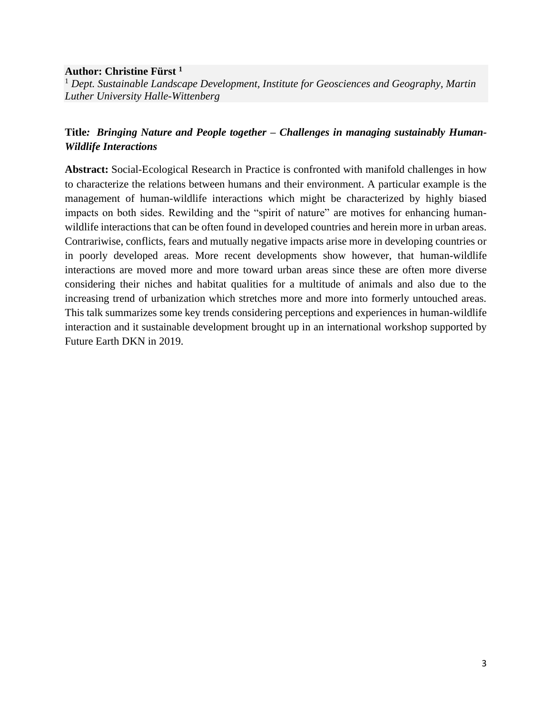#### **Author: Christine Fürst <sup>1</sup>**

<sup>1</sup> *Dept. Sustainable Landscape Development, Institute for Geosciences and Geography, Martin Luther University Halle-Wittenberg*

# **Title***: Bringing Nature and People together – Challenges in managing sustainably Human-Wildlife Interactions*

**Abstract:** Social-Ecological Research in Practice is confronted with manifold challenges in how to characterize the relations between humans and their environment. A particular example is the management of human-wildlife interactions which might be characterized by highly biased impacts on both sides. Rewilding and the "spirit of nature" are motives for enhancing humanwildlife interactions that can be often found in developed countries and herein more in urban areas. Contrariwise, conflicts, fears and mutually negative impacts arise more in developing countries or in poorly developed areas. More recent developments show however, that human-wildlife interactions are moved more and more toward urban areas since these are often more diverse considering their niches and habitat qualities for a multitude of animals and also due to the increasing trend of urbanization which stretches more and more into formerly untouched areas. This talk summarizes some key trends considering perceptions and experiences in human-wildlife interaction and it sustainable development brought up in an international workshop supported by Future Earth DKN in 2019.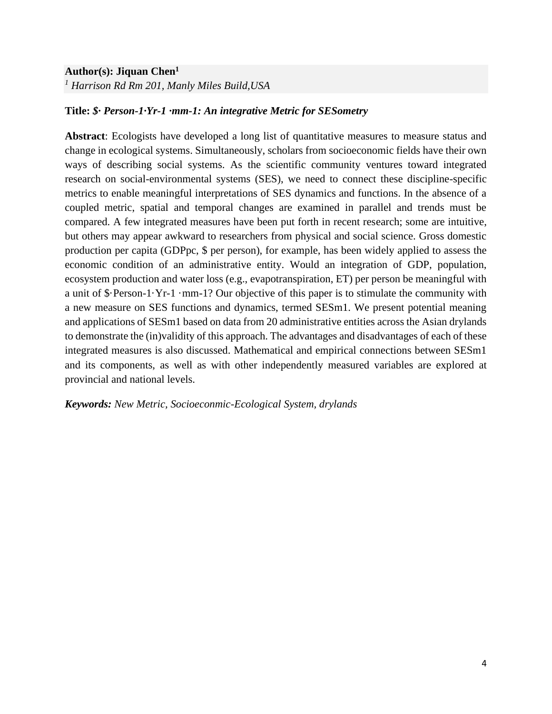# **Author(s): Jiquan Chen<sup>1</sup>** *<sup>1</sup> Harrison Rd Rm 201, Manly Miles Build,USA*

## **Title:** *\$· Person-1·Yr-1 ·mm-1: An integrative Metric for SESometry*

**Abstract**: Ecologists have developed a long list of quantitative measures to measure status and change in ecological systems. Simultaneously, scholars from socioeconomic fields have their own ways of describing social systems. As the scientific community ventures toward integrated research on social-environmental systems (SES), we need to connect these discipline-specific metrics to enable meaningful interpretations of SES dynamics and functions. In the absence of a coupled metric, spatial and temporal changes are examined in parallel and trends must be compared. A few integrated measures have been put forth in recent research; some are intuitive, but others may appear awkward to researchers from physical and social science. Gross domestic production per capita (GDPpc, \$ per person), for example, has been widely applied to assess the economic condition of an administrative entity. Would an integration of GDP, population, ecosystem production and water loss (e.g., evapotranspiration, ET) per person be meaningful with a unit of \$·Person-1·Yr-1 ·mm-1? Our objective of this paper is to stimulate the community with a new measure on SES functions and dynamics, termed SESm1. We present potential meaning and applications of SESm1 based on data from 20 administrative entities across the Asian drylands to demonstrate the (in)validity of this approach. The advantages and disadvantages of each of these integrated measures is also discussed. Mathematical and empirical connections between SESm1 and its components, as well as with other independently measured variables are explored at provincial and national levels.

*Keywords: New Metric, Socioeconmic-Ecological System, drylands*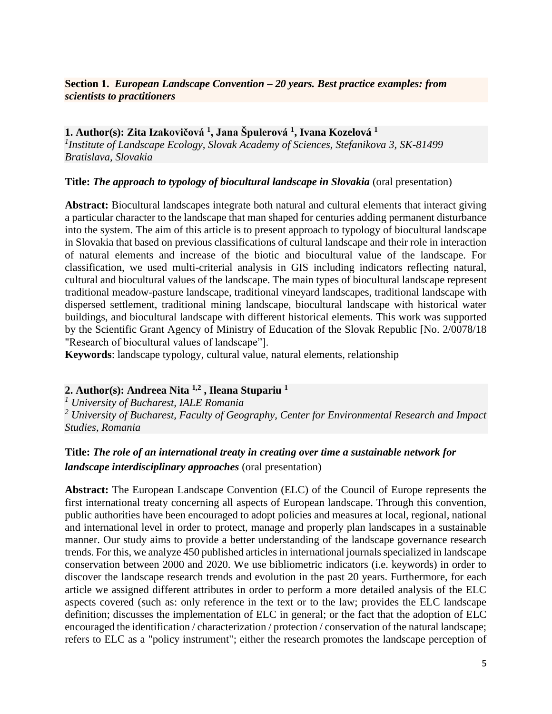## **Section 1.** *European Landscape Convention – 20 years. Best practice examples: from scientists to practitioners*

**1. Author(s): Zita Izakovičová <sup>1</sup> , Jana Špulerová <sup>1</sup> , Ivana Kozelová <sup>1</sup>** *1 Institute of Landscape Ecology, Slovak Academy of Sciences, Stefanikova 3, SK-81499 Bratislava, Slovakia*

#### **Title:** *The approach to typology of biocultural landscape in Slovakia* (oral presentation)

**Abstract:** Biocultural landscapes integrate both natural and cultural elements that interact giving a particular character to the landscape that man shaped for centuries adding permanent disturbance into the system. The aim of this article is to present approach to typology of biocultural landscape in Slovakia that based on previous classifications of cultural landscape and their role in interaction of natural elements and increase of the biotic and biocultural value of the landscape. For classification, we used multi-criterial analysis in GIS including indicators reflecting natural, cultural and biocultural values of the landscape. The main types of biocultural landscape represent traditional meadow-pasture landscape, traditional vineyard landscapes, traditional landscape with dispersed settlement, traditional mining landscape, biocultural landscape with historical water buildings, and biocultural landscape with different historical elements. This work was supported by the Scientific Grant Agency of Ministry of Education of the Slovak Republic [No. 2/0078/18 "Research of biocultural values of landscape"].

**Keywords**: landscape typology, cultural value, natural elements, relationship

## **2. Author(s): Andreea Nita 1,2 , Ileana Stupariu <sup>1</sup>**

*<sup>1</sup> University of Bucharest, IALE Romania*

*<sup>2</sup> University of Bucharest, Faculty of Geography, Center for Environmental Research and Impact Studies, Romania*

# **Title:** *The role of an international treaty in creating over time a sustainable network for landscape interdisciplinary approaches* (oral presentation)

**Abstract:** The European Landscape Convention (ELC) of the Council of Europe represents the first international treaty concerning all aspects of European landscape. Through this convention, public authorities have been encouraged to adopt policies and measures at local, regional, national and international level in order to protect, manage and properly plan landscapes in a sustainable manner. Our study aims to provide a better understanding of the landscape governance research trends. For this, we analyze 450 published articles in international journals specialized in landscape conservation between 2000 and 2020. We use bibliometric indicators (i.e. keywords) in order to discover the landscape research trends and evolution in the past 20 years. Furthermore, for each article we assigned different attributes in order to perform a more detailed analysis of the ELC aspects covered (such as: only reference in the text or to the law; provides the ELC landscape definition; discusses the implementation of ELC in general; or the fact that the adoption of ELC encouraged the identification / characterization / protection / conservation of the natural landscape; refers to ELC as a "policy instrument"; either the research promotes the landscape perception of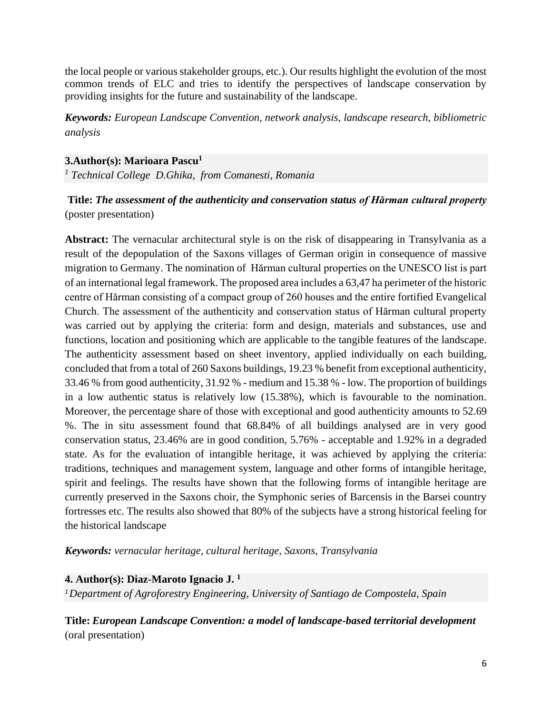the local people or various stakeholder groups, etc.). Our results highlight the evolution of the most common trends of ELC and tries to identify the perspectives of landscape conservation by providing insights for the future and sustainability of the landscape.

*Keywords: European Landscape Convention, network analysis, landscape research, bibliometric analysis*

**3.Author(s): Marioara Pascu<sup>1</sup>** *<sup>1</sup> Technical College D.Ghika, from Comanesti, Romania*

**Title:** *The assessment of the authenticity and conservation status of Hărman cultural property* (poster presentation)

**Abstract:** The vernacular architectural style is on the risk of disappearing in Transylvania as a result of the depopulation of the Saxons villages of German origin in consequence of massive migration to Germany. The nomination of Hărman cultural properties on the UNESCO list is part of an international legal framework. The proposed area includes a 63,47 ha perimeter of the historic centre of Hărman consisting of a compact group of 260 houses and the entire fortified Evangelical Church. The assessment of the authenticity and conservation status of Hărman cultural property was carried out by applying the criteria: form and design, materials and substances, use and functions, location and positioning which are applicable to the tangible features of the landscape. The authenticity assessment based on sheet inventory, applied individually on each building, concluded that from a total of 260 Saxons buildings, 19.23 % benefit from exceptional authenticity, 33.46 % from good authenticity, 31.92 % - medium and 15.38 % - low. The proportion of buildings in a low authentic status is relatively low (15.38%), which is favourable to the nomination. Moreover, the percentage share of those with exceptional and good authenticity amounts to 52.69 %. The in situ assessment found that 68.84% of all buildings analysed are in very good conservation status, 23.46% are in good condition, 5.76% - acceptable and 1.92% in a degraded state. As for the evaluation of intangible heritage, it was achieved by applying the criteria: traditions, techniques and management system, language and other forms of intangible heritage, spirit and feelings. The results have shown that the following forms of intangible heritage are currently preserved in the Saxons choir, the Symphonic series of Barcensis in the Barsei country fortresses etc. The results also showed that 80% of the subjects have a strong historical feeling for the historical landscape

*Keywords: vernacular heritage, cultural heritage, Saxons, Transylvania*

**4. Author(s): Diaz-Maroto Ignacio J. <sup>1</sup>** *<sup>1</sup>Department of Agroforestry Engineering, University of Santiago de Compostela, Spain*

**Title:** *European Landscape Convention: a model of landscape-based territorial development* (oral presentation)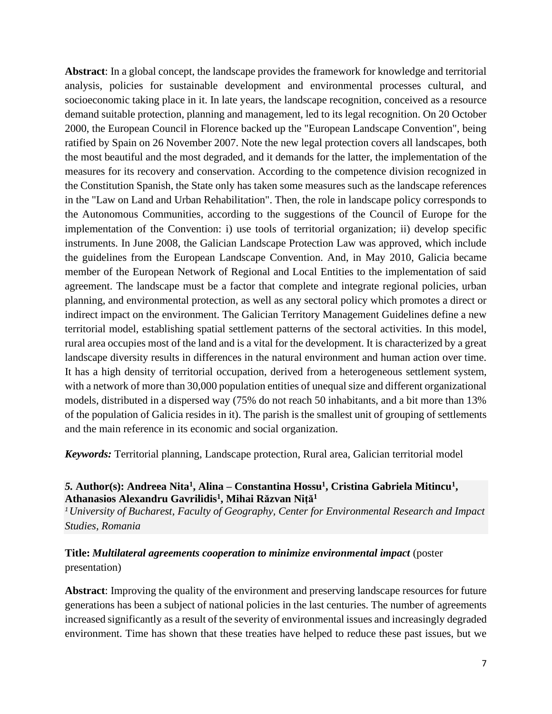**Abstract**: In a global concept, the landscape provides the framework for knowledge and territorial analysis, policies for sustainable development and environmental processes cultural, and socioeconomic taking place in it. In late years, the landscape recognition, conceived as a resource demand suitable protection, planning and management, led to its legal recognition. On 20 October 2000, the European Council in Florence backed up the "European Landscape Convention", being ratified by Spain on 26 November 2007. Note the new legal protection covers all landscapes, both the most beautiful and the most degraded, and it demands for the latter, the implementation of the measures for its recovery and conservation. According to the competence division recognized in the Constitution Spanish, the State only has taken some measures such as the landscape references in the "Law on Land and Urban Rehabilitation". Then, the role in landscape policy corresponds to the Autonomous Communities, according to the suggestions of the Council of Europe for the implementation of the Convention: i) use tools of territorial organization; ii) develop specific instruments. In June 2008, the Galician Landscape Protection Law was approved, which include the guidelines from the European Landscape Convention. And, in May 2010, Galicia became member of the European Network of Regional and Local Entities to the implementation of said agreement. The landscape must be a factor that complete and integrate regional policies, urban planning, and environmental protection, as well as any sectoral policy which promotes a direct or indirect impact on the environment. The Galician Territory Management Guidelines define a new territorial model, establishing spatial settlement patterns of the sectoral activities. In this model, rural area occupies most of the land and is a vital for the development. It is characterized by a great landscape diversity results in differences in the natural environment and human action over time. It has a high density of territorial occupation, derived from a heterogeneous settlement system, with a network of more than 30,000 population entities of unequal size and different organizational models, distributed in a dispersed way (75% do not reach 50 inhabitants, and a bit more than 13% of the population of Galicia resides in it). The parish is the smallest unit of grouping of settlements and the main reference in its economic and social organization.

*Keywords:* Territorial planning, Landscape protection, Rural area, Galician territorial model

## *5.* **Author(s): Andreea Nita<sup>1</sup> , Alina – Constantina Hossu<sup>1</sup> , Cristina Gabriela Mitincu<sup>1</sup> , Athanasios Alexandru Gavrilidis<sup>1</sup> , Mihai Răzvan Niță<sup>1</sup>**

*<sup>1</sup>University of Bucharest, Faculty of Geography, Center for Environmental Research and Impact Studies, Romania*

# **Title:** *Multilateral agreements cooperation to minimize environmental impact* (poster presentation)

**Abstract**: Improving the quality of the environment and preserving landscape resources for future generations has been a subject of national policies in the last centuries. The number of agreements increased significantly as a result of the severity of environmental issues and increasingly degraded environment. Time has shown that these treaties have helped to reduce these past issues, but we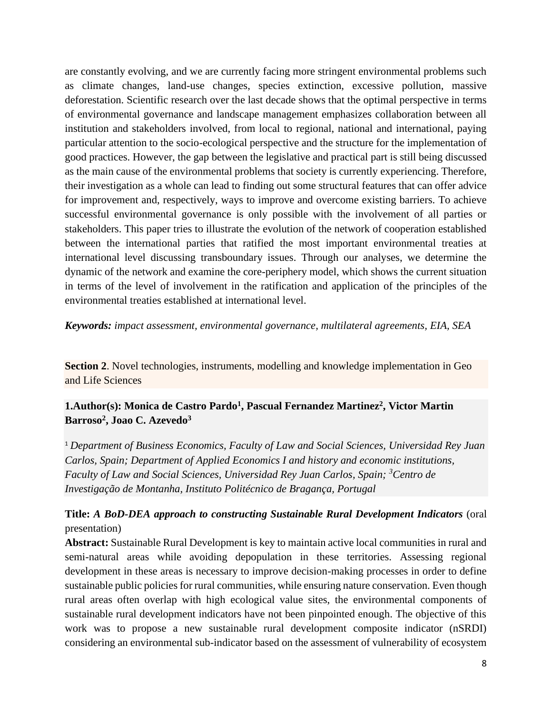are constantly evolving, and we are currently facing more stringent environmental problems such as climate changes, land-use changes, species extinction, excessive pollution, massive deforestation. Scientific research over the last decade shows that the optimal perspective in terms of environmental governance and landscape management emphasizes collaboration between all institution and stakeholders involved, from local to regional, national and international, paying particular attention to the socio-ecological perspective and the structure for the implementation of good practices. However, the gap between the legislative and practical part is still being discussed as the main cause of the environmental problems that society is currently experiencing. Therefore, their investigation as a whole can lead to finding out some structural features that can offer advice for improvement and, respectively, ways to improve and overcome existing barriers. To achieve successful environmental governance is only possible with the involvement of all parties or stakeholders. This paper tries to illustrate the evolution of the network of cooperation established between the international parties that ratified the most important environmental treaties at international level discussing transboundary issues. Through our analyses, we determine the dynamic of the network and examine the core-periphery model, which shows the current situation in terms of the level of involvement in the ratification and application of the principles of the environmental treaties established at international level.

*Keywords: impact assessment, environmental governance, multilateral agreements, EIA, SEA*

**Section 2**. Novel technologies, instruments, modelling and knowledge implementation in Geo and Life Sciences

# **1.Author(s): Monica de Castro Pardo<sup>1</sup> , Pascual Fernandez Martinez<sup>2</sup> , Victor Martin Barroso<sup>2</sup> , Joao C. Azevedo<sup>3</sup>**

<sup>1</sup> *Department of Business Economics, Faculty of Law and Social Sciences, Universidad Rey Juan Carlos, Spain; Department of Applied Economics I and history and economic institutions, Faculty of Law and Social Sciences, Universidad Rey Juan Carlos, Spain; <sup>3</sup>Centro de Investigação de Montanha, Instituto Politécnico de Bragança, Portugal*

# **Title:** *A BoD-DEA approach to constructing Sustainable Rural Development Indicators* (oral presentation)

**Abstract:** Sustainable Rural Development is key to maintain active local communities in rural and semi-natural areas while avoiding depopulation in these territories. Assessing regional development in these areas is necessary to improve decision-making processes in order to define sustainable public policies for rural communities, while ensuring nature conservation. Even though rural areas often overlap with high ecological value sites, the environmental components of sustainable rural development indicators have not been pinpointed enough. The objective of this work was to propose a new sustainable rural development composite indicator (nSRDI) considering an environmental sub-indicator based on the assessment of vulnerability of ecosystem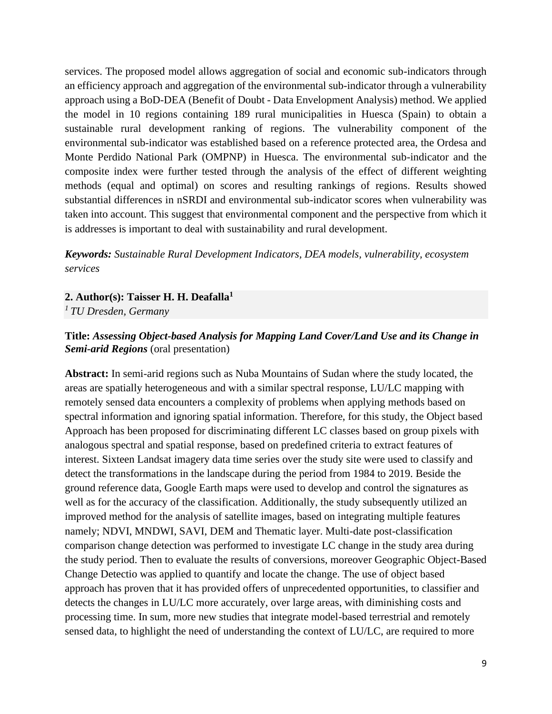services. The proposed model allows aggregation of social and economic sub-indicators through an efficiency approach and aggregation of the environmental sub-indicator through a vulnerability approach using a BoD-DEA (Benefit of Doubt - Data Envelopment Analysis) method. We applied the model in 10 regions containing 189 rural municipalities in Huesca (Spain) to obtain a sustainable rural development ranking of regions. The vulnerability component of the environmental sub-indicator was established based on a reference protected area, the Ordesa and Monte Perdido National Park (OMPNP) in Huesca. The environmental sub-indicator and the composite index were further tested through the analysis of the effect of different weighting methods (equal and optimal) on scores and resulting rankings of regions. Results showed substantial differences in nSRDI and environmental sub-indicator scores when vulnerability was taken into account. This suggest that environmental component and the perspective from which it is addresses is important to deal with sustainability and rural development.

*Keywords: Sustainable Rural Development Indicators, DEA models, vulnerability, ecosystem services*

**2. Author(s): Taisser H. H. Deafalla<sup>1</sup>** *<sup>1</sup> TU Dresden, Germany*

## **Title:** *Assessing Object-based Analysis for Mapping Land Cover/Land Use and its Change in Semi-arid Regions* (oral presentation)

**Abstract:** In semi-arid regions such as Nuba Mountains of Sudan where the study located, the areas are spatially heterogeneous and with a similar spectral response, LU/LC mapping with remotely sensed data encounters a complexity of problems when applying methods based on spectral information and ignoring spatial information. Therefore, for this study, the Object based Approach has been proposed for discriminating different LC classes based on group pixels with analogous spectral and spatial response, based on predefined criteria to extract features of interest. Sixteen Landsat imagery data time series over the study site were used to classify and detect the transformations in the landscape during the period from 1984 to 2019. Beside the ground reference data, Google Earth maps were used to develop and control the signatures as well as for the accuracy of the classification. Additionally, the study subsequently utilized an improved method for the analysis of satellite images, based on integrating multiple features namely; NDVI, MNDWI, SAVI, DEM and Thematic layer. Multi-date post-classification comparison change detection was performed to investigate LC change in the study area during the study period. Then to evaluate the results of conversions, moreover Geographic Object-Based Change Detectio was applied to quantify and locate the change. The use of object based approach has proven that it has provided offers of unprecedented opportunities, to classifier and detects the changes in LU/LC more accurately, over large areas, with diminishing costs and processing time. In sum, more new studies that integrate model-based terrestrial and remotely sensed data, to highlight the need of understanding the context of LU/LC, are required to more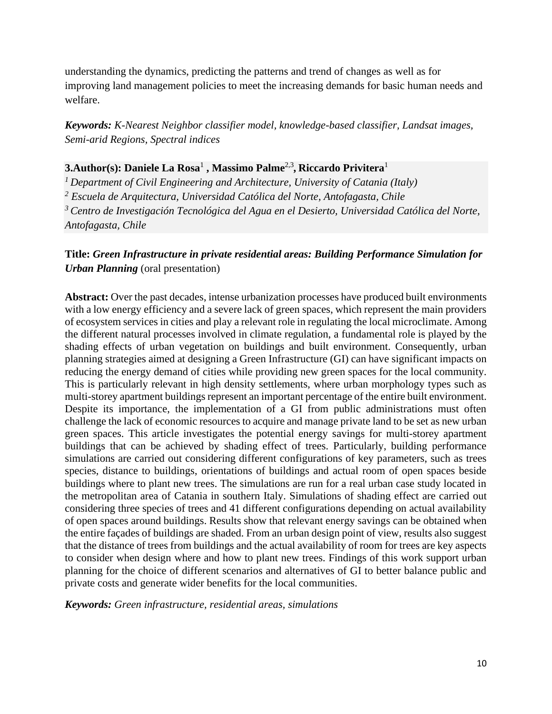understanding the dynamics, predicting the patterns and trend of changes as well as for improving land management policies to meet the increasing demands for basic human needs and welfare.

*Keywords: K-Nearest Neighbor classifier model, knowledge-based classifier, Landsat images, Semi-arid Regions, Spectral indices*

## **3.Author(s): Daniele La Rosa**<sup>1</sup> **, Massimo Palme**2,3 *,* **Riccardo Privitera**<sup>1</sup>

 *Department of Civil Engineering and Architecture, University of Catania (Italy) Escuela de Arquitectura, Universidad Católica del Norte, Antofagasta, Chile Centro de Investigación Tecnológica del Agua en el Desierto, Universidad Católica del Norte, Antofagasta, Chile* 

# **Title:** *Green Infrastructure in private residential areas: Building Performance Simulation for Urban Planning* (oral presentation)

**Abstract:** Over the past decades, intense urbanization processes have produced built environments with a low energy efficiency and a severe lack of green spaces, which represent the main providers of ecosystem services in cities and play a relevant role in regulating the local microclimate. Among the different natural processes involved in climate regulation, a fundamental role is played by the shading effects of urban vegetation on buildings and built environment. Consequently, urban planning strategies aimed at designing a Green Infrastructure (GI) can have significant impacts on reducing the energy demand of cities while providing new green spaces for the local community. This is particularly relevant in high density settlements, where urban morphology types such as multi-storey apartment buildings represent an important percentage of the entire built environment. Despite its importance, the implementation of a GI from public administrations must often challenge the lack of economic resources to acquire and manage private land to be set as new urban green spaces. This article investigates the potential energy savings for multi-storey apartment buildings that can be achieved by shading effect of trees. Particularly, building performance simulations are carried out considering different configurations of key parameters, such as trees species, distance to buildings, orientations of buildings and actual room of open spaces beside buildings where to plant new trees. The simulations are run for a real urban case study located in the metropolitan area of Catania in southern Italy. Simulations of shading effect are carried out considering three species of trees and 41 different configurations depending on actual availability of open spaces around buildings. Results show that relevant energy savings can be obtained when the entire façades of buildings are shaded. From an urban design point of view, results also suggest that the distance of trees from buildings and the actual availability of room for trees are key aspects to consider when design where and how to plant new trees. Findings of this work support urban planning for the choice of different scenarios and alternatives of GI to better balance public and private costs and generate wider benefits for the local communities.

*Keywords: Green infrastructure, residential areas, simulations*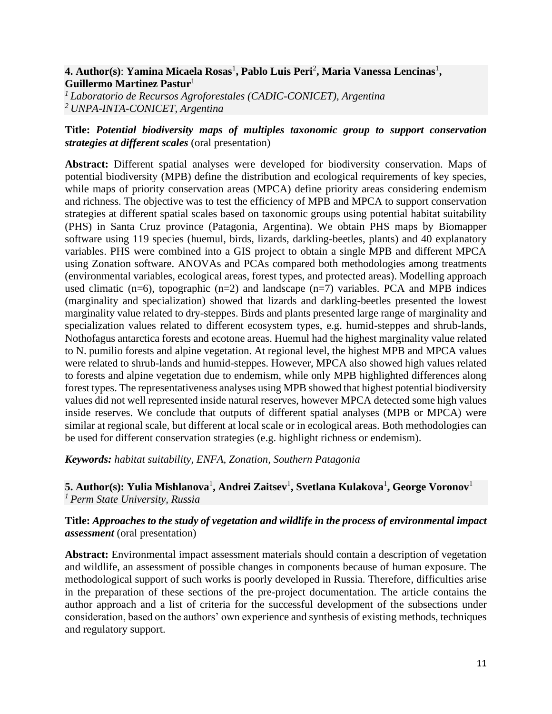## **4.** Author(s): Yamina Micaela Rosas<sup>1</sup>, Pablo Luis Peri<sup>2</sup>, Maria Vanessa Lencinas<sup>1</sup>, **Guillermo Martinez Pastur**<sup>1</sup>

*<sup>1</sup> Laboratorio de Recursos Agroforestales (CADIC-CONICET), Argentina <sup>2</sup>UNPA-INTA-CONICET, Argentina*

## **Title:** *Potential biodiversity maps of multiples taxonomic group to support conservation strategies at different scales* (oral presentation)

**Abstract:** Different spatial analyses were developed for biodiversity conservation. Maps of potential biodiversity (MPB) define the distribution and ecological requirements of key species, while maps of priority conservation areas (MPCA) define priority areas considering endemism and richness. The objective was to test the efficiency of MPB and MPCA to support conservation strategies at different spatial scales based on taxonomic groups using potential habitat suitability (PHS) in Santa Cruz province (Patagonia, Argentina). We obtain PHS maps by Biomapper software using 119 species (huemul, birds, lizards, darkling-beetles, plants) and 40 explanatory variables. PHS were combined into a GIS project to obtain a single MPB and different MPCA using Zonation software. ANOVAs and PCAs compared both methodologies among treatments (environmental variables, ecological areas, forest types, and protected areas). Modelling approach used climatic (n=6), topographic (n=2) and landscape (n=7) variables. PCA and MPB indices (marginality and specialization) showed that lizards and darkling-beetles presented the lowest marginality value related to dry-steppes. Birds and plants presented large range of marginality and specialization values related to different ecosystem types, e.g. humid-steppes and shrub-lands, Nothofagus antarctica forests and ecotone areas. Huemul had the highest marginality value related to N. pumilio forests and alpine vegetation. At regional level, the highest MPB and MPCA values were related to shrub-lands and humid-steppes. However, MPCA also showed high values related to forests and alpine vegetation due to endemism, while only MPB highlighted differences along forest types. The representativeness analyses using MPB showed that highest potential biodiversity values did not well represented inside natural reserves, however MPCA detected some high values inside reserves. We conclude that outputs of different spatial analyses (MPB or MPCA) were similar at regional scale, but different at local scale or in ecological areas. Both methodologies can be used for different conservation strategies (e.g. highlight richness or endemism).

*Keywords: habitat suitability, ENFA, Zonation, Southern Patagonia*

# **5. Author(s): Yulia Mishlanova**<sup>1</sup> **, Andrei Zaitsev**<sup>1</sup> **, Svetlana Kulakova**<sup>1</sup> **, George Voronov**<sup>1</sup> *<sup>1</sup> Perm State University, Russia*

## **Title:** *Approaches to the study of vegetation and wildlife in the process of environmental impact assessment* (oral presentation)

**Abstract:** Environmental impact assessment materials should contain a description of vegetation and wildlife, an assessment of possible changes in components because of human exposure. The methodological support of such works is poorly developed in Russia. Therefore, difficulties arise in the preparation of these sections of the pre-project documentation. The article contains the author approach and a list of criteria for the successful development of the subsections under consideration, based on the authors' own experience and synthesis of existing methods, techniques and regulatory support.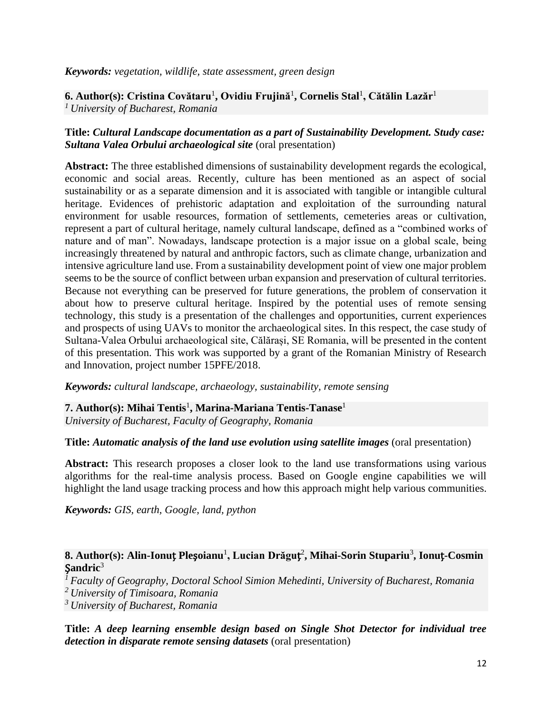*Keywords: vegetation, wildlife, state assessment, green design*

**6. Author(s): Cristina Covătaru**<sup>1</sup> **, Ovidiu Frujină**<sup>1</sup> **, Cornelis Stal**<sup>1</sup> **, Cătălin Lazăr**<sup>1</sup> *<sup>1</sup> University of Bucharest, Romania*

## **Title:** *Cultural Landscape documentation as a part of Sustainability Development. Study case: Sultana Valea Orbului archaeological site* (oral presentation)

**Abstract:** The three established dimensions of sustainability development regards the ecological, economic and social areas. Recently, culture has been mentioned as an aspect of social sustainability or as a separate dimension and it is associated with tangible or intangible cultural heritage. Evidences of prehistoric adaptation and exploitation of the surrounding natural environment for usable resources, formation of settlements, cemeteries areas or cultivation, represent a part of cultural heritage, namely cultural landscape, defined as a "combined works of nature and of man". Nowadays, landscape protection is a major issue on a global scale, being increasingly threatened by natural and anthropic factors, such as climate change, urbanization and intensive agriculture land use. From a sustainability development point of view one major problem seems to be the source of conflict between urban expansion and preservation of cultural territories. Because not everything can be preserved for future generations, the problem of conservation it about how to preserve cultural heritage. Inspired by the potential uses of remote sensing technology, this study is a presentation of the challenges and opportunities, current experiences and prospects of using UAVs to monitor the archaeological sites. In this respect, the case study of Sultana-Valea Orbului archaeological site, Călărași, SE Romania, will be presented in the content of this presentation. This work was supported by a grant of the Romanian Ministry of Research and Innovation, project number 15PFE/2018.

*Keywords: cultural landscape, archaeology, sustainability, remote sensing*

**7. Author(s): Mihai Tentis**<sup>1</sup> **, Marina-Mariana Tentis-Tanase**<sup>1</sup> *University of Bucharest, Faculty of Geography, Romania*

#### **Title:** *Automatic analysis of the land use evolution using satellite images* (oral presentation)

**Abstract:** This research proposes a closer look to the land use transformations using various algorithms for the real-time analysis process. Based on Google engine capabilities we will highlight the land usage tracking process and how this approach might help various communities.

*Keywords: GIS, earth, Google, land, python*

## **8. Author(s): Alin-Ionu**ț **Ple**ș**oianu**<sup>1</sup> **, Lucian Drăgu**ț 2 **, Mihai-Sorin Stupariu**<sup>3</sup> **, Ionu**ț**-Cosmin**  Ș**andric**<sup>3</sup>

*<sup>1</sup> Faculty of Geography, Doctoral School Simion Mehedinti, University of Bucharest, Romania <sup>2</sup>University of Timisoara, Romania*

*<sup>3</sup>University of Bucharest, Romania*

**Title:** *A deep learning ensemble design based on Single Shot Detector for individual tree detection in disparate remote sensing datasets* (oral presentation)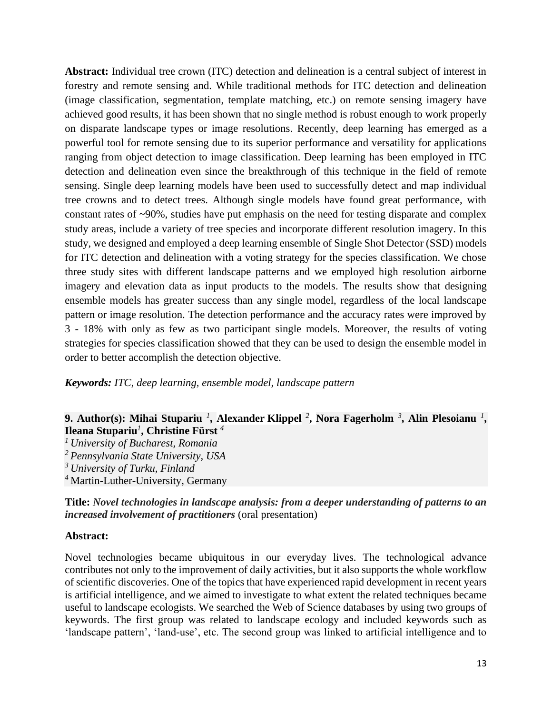**Abstract:** Individual tree crown (ITC) detection and delineation is a central subject of interest in forestry and remote sensing and. While traditional methods for ITC detection and delineation (image classification, segmentation, template matching, etc.) on remote sensing imagery have achieved good results, it has been shown that no single method is robust enough to work properly on disparate landscape types or image resolutions. Recently, deep learning has emerged as a powerful tool for remote sensing due to its superior performance and versatility for applications ranging from object detection to image classification. Deep learning has been employed in ITC detection and delineation even since the breakthrough of this technique in the field of remote sensing. Single deep learning models have been used to successfully detect and map individual tree crowns and to detect trees. Although single models have found great performance, with constant rates of ~90%, studies have put emphasis on the need for testing disparate and complex study areas, include a variety of tree species and incorporate different resolution imagery. In this study, we designed and employed a deep learning ensemble of Single Shot Detector (SSD) models for ITC detection and delineation with a voting strategy for the species classification. We chose three study sites with different landscape patterns and we employed high resolution airborne imagery and elevation data as input products to the models. The results show that designing ensemble models has greater success than any single model, regardless of the local landscape pattern or image resolution. The detection performance and the accuracy rates were improved by 3 - 18% with only as few as two participant single models. Moreover, the results of voting strategies for species classification showed that they can be used to design the ensemble model in order to better accomplish the detection objective.

*Keywords: ITC, deep learning, ensemble model, landscape pattern*

## **9. Author(s): Mihai Stupariu** *<sup>1</sup>* **, Alexander Klippel** *<sup>2</sup>* **, Nora Fagerholm** *<sup>3</sup>* **, Alin Plesoianu** *<sup>1</sup>* **, Ileana Stupariu***<sup>1</sup>* **, Christine Fürst** *<sup>4</sup>*

*<sup>1</sup>University of Bucharest, Romania*

*<sup>2</sup>Pennsylvania State University, USA*

*<sup>3</sup>University of Turku, Finland*

<sup>4</sup> Martin-Luther-University, Germany

**Title:** *Novel technologies in landscape analysis: from a deeper understanding of patterns to an increased involvement of practitioners* (oral presentation)

#### **Abstract:**

Novel technologies became ubiquitous in our everyday lives. The technological advance contributes not only to the improvement of daily activities, but it also supports the whole workflow of scientific discoveries. One of the topics that have experienced rapid development in recent years is artificial intelligence, and we aimed to investigate to what extent the related techniques became useful to landscape ecologists. We searched the Web of Science databases by using two groups of keywords. The first group was related to landscape ecology and included keywords such as 'landscape pattern', 'land-use', etc. The second group was linked to artificial intelligence and to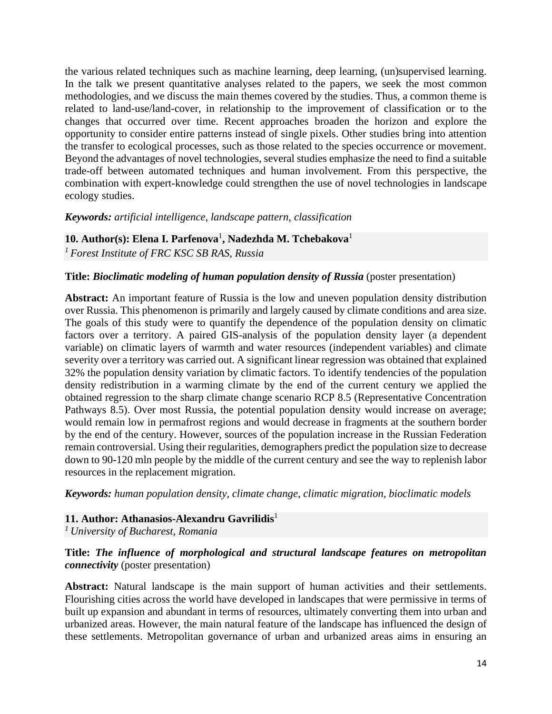the various related techniques such as machine learning, deep learning, (un)supervised learning. In the talk we present quantitative analyses related to the papers, we seek the most common methodologies, and we discuss the main themes covered by the studies. Thus, a common theme is related to land-use/land-cover, in relationship to the improvement of classification or to the changes that occurred over time. Recent approaches broaden the horizon and explore the opportunity to consider entire patterns instead of single pixels. Other studies bring into attention the transfer to ecological processes, such as those related to the species occurrence or movement. Beyond the advantages of novel technologies, several studies emphasize the need to find a suitable trade-off between automated techniques and human involvement. From this perspective, the combination with expert-knowledge could strengthen the use of novel technologies in landscape ecology studies.

#### *Keywords: artificial intelligence, landscape pattern, classification*

**10. Author(s): Elena I. Parfenova**<sup>1</sup> **, Nadezhda M. Tchebakova**<sup>1</sup> *<sup>1</sup> Forest Institute of FRC KSC SB RAS, Russia*

#### **Title:** *Bioclimatic modeling of human population density of Russia* (poster presentation)

**Abstract:** An important feature of Russia is the low and uneven population density distribution over Russia. This phenomenon is primarily and largely caused by climate conditions and area size. The goals of this study were to quantify the dependence of the population density on climatic factors over a territory. A paired GIS-analysis of the population density layer (a dependent variable) on climatic layers of warmth and water resources (independent variables) and climate severity over a territory was carried out. A significant linear regression was obtained that explained 32% the population density variation by climatic factors. To identify tendencies of the population density redistribution in a warming climate by the end of the current century we applied the obtained regression to the sharp climate change scenario RCP 8.5 (Representative Concentration Pathways 8.5). Over most Russia, the potential population density would increase on average; would remain low in permafrost regions and would decrease in fragments at the southern border by the end of the century. However, sources of the population increase in the Russian Federation remain controversial. Using their regularities, demographers predict the population size to decrease down to 90-120 mln people by the middle of the current century and see the way to replenish labor resources in the replacement migration.

*Keywords: human population density, climate change, climatic migration, bioclimatic models*

#### **11. Author: Athanasios-Alexandru Gavrilidis**<sup>1</sup>

*<sup>1</sup> University of Bucharest, Romania*

## **Title:** *The influence of morphological and structural landscape features on metropolitan connectivity* (poster presentation)

**Abstract:** Natural landscape is the main support of human activities and their settlements. Flourishing cities across the world have developed in landscapes that were permissive in terms of built up expansion and abundant in terms of resources, ultimately converting them into urban and urbanized areas. However, the main natural feature of the landscape has influenced the design of these settlements. Metropolitan governance of urban and urbanized areas aims in ensuring an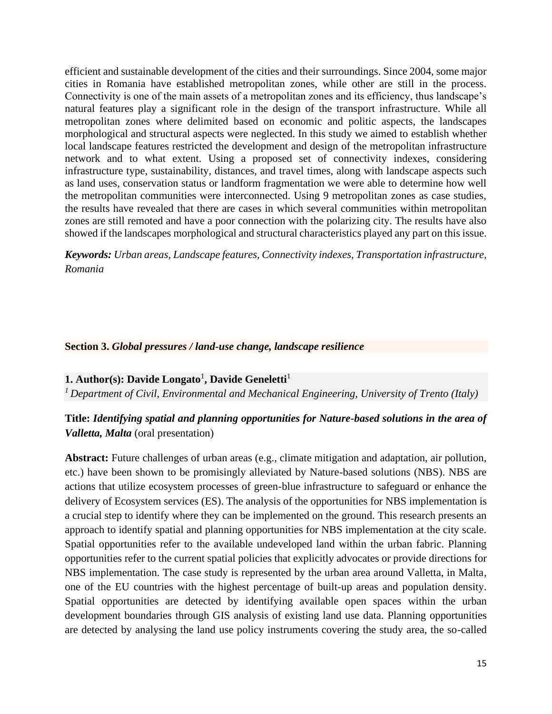efficient and sustainable development of the cities and their surroundings. Since 2004, some major cities in Romania have established metropolitan zones, while other are still in the process. Connectivity is one of the main assets of a metropolitan zones and its efficiency, thus landscape's natural features play a significant role in the design of the transport infrastructure. While all metropolitan zones where delimited based on economic and politic aspects, the landscapes morphological and structural aspects were neglected. In this study we aimed to establish whether local landscape features restricted the development and design of the metropolitan infrastructure network and to what extent. Using a proposed set of connectivity indexes, considering infrastructure type, sustainability, distances, and travel times, along with landscape aspects such as land uses, conservation status or landform fragmentation we were able to determine how well the metropolitan communities were interconnected. Using 9 metropolitan zones as case studies, the results have revealed that there are cases in which several communities within metropolitan zones are still remoted and have a poor connection with the polarizing city. The results have also showed if the landscapes morphological and structural characteristics played any part on this issue.

*Keywords: Urban areas, Landscape features, Connectivity indexes, Transportation infrastructure, Romania*

## **Section 3.** *Global pressures / land-use change, landscape resilience*

## 1. Author(s): Davide Longato<sup>1</sup>, Davide Geneletti<sup>1</sup>

*<sup>1</sup> Department of Civil, Environmental and Mechanical Engineering, University of Trento (Italy)*

# **Title:** *Identifying spatial and planning opportunities for Nature-based solutions in the area of Valletta, Malta* (oral presentation)

**Abstract:** Future challenges of urban areas (e.g., climate mitigation and adaptation, air pollution, etc.) have been shown to be promisingly alleviated by Nature-based solutions (NBS). NBS are actions that utilize ecosystem processes of green-blue infrastructure to safeguard or enhance the delivery of Ecosystem services (ES). The analysis of the opportunities for NBS implementation is a crucial step to identify where they can be implemented on the ground. This research presents an approach to identify spatial and planning opportunities for NBS implementation at the city scale. Spatial opportunities refer to the available undeveloped land within the urban fabric. Planning opportunities refer to the current spatial policies that explicitly advocates or provide directions for NBS implementation. The case study is represented by the urban area around Valletta, in Malta, one of the EU countries with the highest percentage of built-up areas and population density. Spatial opportunities are detected by identifying available open spaces within the urban development boundaries through GIS analysis of existing land use data. Planning opportunities are detected by analysing the land use policy instruments covering the study area, the so-called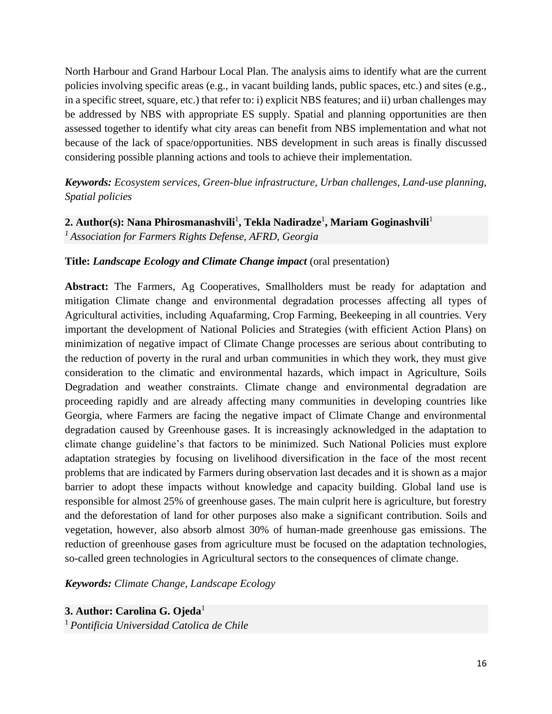North Harbour and Grand Harbour Local Plan. The analysis aims to identify what are the current policies involving specific areas (e.g., in vacant building lands, public spaces, etc.) and sites (e.g., in a specific street, square, etc.) that refer to: i) explicit NBS features; and ii) urban challenges may be addressed by NBS with appropriate ES supply. Spatial and planning opportunities are then assessed together to identify what city areas can benefit from NBS implementation and what not because of the lack of space/opportunities. NBS development in such areas is finally discussed considering possible planning actions and tools to achieve their implementation.

*Keywords: Ecosystem services, Green-blue infrastructure, Urban challenges, Land-use planning, Spatial policies*

2. Author(s): Nana Phirosmanashvili<sup>1</sup>, Tekla Nadiradze<sup>1</sup>, Mariam Goginashvili<sup>1</sup> *<sup>1</sup> Association for Farmers Rights Defense, AFRD, Georgia*

#### **Title:** *Landscape Ecology and Climate Change impact* (oral presentation)

**Abstract:** The Farmers, Ag Cooperatives, Smallholders must be ready for adaptation and mitigation Climate change and environmental degradation processes affecting all types of Agricultural activities, including Aquafarming, Crop Farming, Beekeeping in all countries. Very important the development of National Policies and Strategies (with efficient Action Plans) on minimization of negative impact of Climate Change processes are serious about contributing to the reduction of poverty in the rural and urban communities in which they work, they must give consideration to the climatic and environmental hazards, which impact in Agriculture, Soils Degradation and weather constraints. Climate change and environmental degradation are proceeding rapidly and are already affecting many communities in developing countries like Georgia, where Farmers are facing the negative impact of Climate Change and environmental degradation caused by Greenhouse gases. It is increasingly acknowledged in the adaptation to climate change guideline's that factors to be minimized. Such National Policies must explore adaptation strategies by focusing on livelihood diversification in the face of the most recent problems that are indicated by Farmers during observation last decades and it is shown as a major barrier to adopt these impacts without knowledge and capacity building. Global land use is responsible for almost 25% of greenhouse gases. The main culprit here is agriculture, but forestry and the deforestation of land for other purposes also make a significant contribution. Soils and vegetation, however, also absorb almost 30% of human-made greenhouse gas emissions. The reduction of greenhouse gases from agriculture must be focused on the adaptation technologies, so-called green technologies in Agricultural sectors to the consequences of climate change.

*Keywords: Climate Change, Landscape Ecology*

**3. Author: Carolina G. Ojeda**<sup>1</sup>

<sup>1</sup> *Pontificia Universidad Catolica de Chile*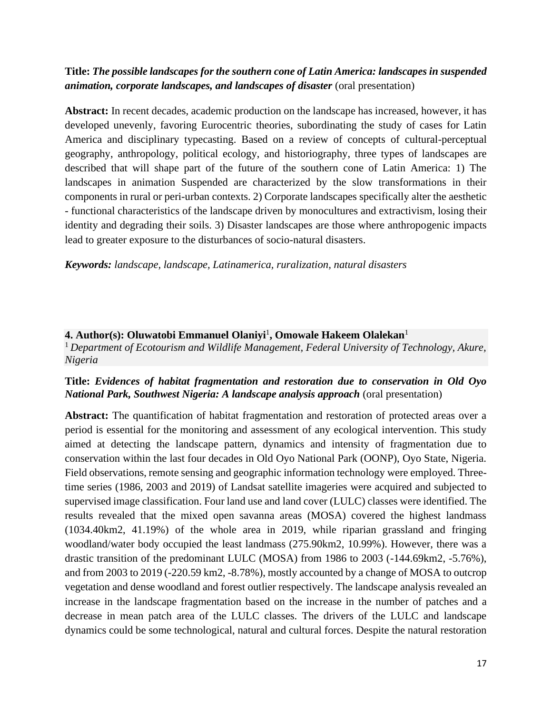# **Title:** *The possible landscapes for the southern cone of Latin America: landscapes in suspended animation, corporate landscapes, and landscapes of disaster* (oral presentation)

**Abstract:** In recent decades, academic production on the landscape has increased, however, it has developed unevenly, favoring Eurocentric theories, subordinating the study of cases for Latin America and disciplinary typecasting. Based on a review of concepts of cultural-perceptual geography, anthropology, political ecology, and historiography, three types of landscapes are described that will shape part of the future of the southern cone of Latin America: 1) The landscapes in animation Suspended are characterized by the slow transformations in their components in rural or peri-urban contexts. 2) Corporate landscapes specifically alter the aesthetic - functional characteristics of the landscape driven by monocultures and extractivism, losing their identity and degrading their soils. 3) Disaster landscapes are those where anthropogenic impacts lead to greater exposure to the disturbances of socio-natural disasters.

*Keywords: landscape, landscape, Latinamerica, ruralization, natural disasters*

# **4. Author(s): Oluwatobi Emmanuel Olaniyi**<sup>1</sup> **, Omowale Hakeem Olalekan**<sup>1</sup>

<sup>1</sup> *Department of Ecotourism and Wildlife Management, Federal University of Technology, Akure, Nigeria*

## **Title:** *Evidences of habitat fragmentation and restoration due to conservation in Old Oyo National Park, Southwest Nigeria: A landscape analysis approach* (oral presentation)

**Abstract:** The quantification of habitat fragmentation and restoration of protected areas over a period is essential for the monitoring and assessment of any ecological intervention. This study aimed at detecting the landscape pattern, dynamics and intensity of fragmentation due to conservation within the last four decades in Old Oyo National Park (OONP), Oyo State, Nigeria. Field observations, remote sensing and geographic information technology were employed. Threetime series (1986, 2003 and 2019) of Landsat satellite imageries were acquired and subjected to supervised image classification. Four land use and land cover (LULC) classes were identified. The results revealed that the mixed open savanna areas (MOSA) covered the highest landmass (1034.40km2, 41.19%) of the whole area in 2019, while riparian grassland and fringing woodland/water body occupied the least landmass (275.90km2, 10.99%). However, there was a drastic transition of the predominant LULC (MOSA) from 1986 to 2003 (-144.69km2, -5.76%), and from 2003 to 2019 (-220.59 km2, -8.78%), mostly accounted by a change of MOSA to outcrop vegetation and dense woodland and forest outlier respectively. The landscape analysis revealed an increase in the landscape fragmentation based on the increase in the number of patches and a decrease in mean patch area of the LULC classes. The drivers of the LULC and landscape dynamics could be some technological, natural and cultural forces. Despite the natural restoration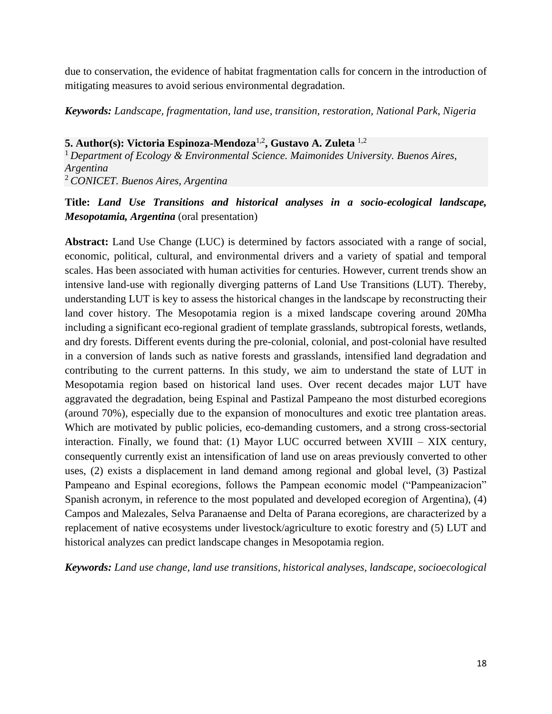due to conservation, the evidence of habitat fragmentation calls for concern in the introduction of mitigating measures to avoid serious environmental degradation.

*Keywords: Landscape, fragmentation, land use, transition, restoration, National Park, Nigeria*

**5. Author(s): Victoria Espinoza-Mendoza**1,2 **, Gustavo A. Zuleta** 1,2 <sup>1</sup> *Department of Ecology & Environmental Science. Maimonides University. Buenos Aires, Argentina* <sup>2</sup>*CONICET. Buenos Aires, Argentina*

# **Title:** *Land Use Transitions and historical analyses in a socio-ecological landscape, Mesopotamia, Argentina* (oral presentation)

**Abstract:** Land Use Change (LUC) is determined by factors associated with a range of social, economic, political, cultural, and environmental drivers and a variety of spatial and temporal scales. Has been associated with human activities for centuries. However, current trends show an intensive land-use with regionally diverging patterns of Land Use Transitions (LUT). Thereby, understanding LUT is key to assess the historical changes in the landscape by reconstructing their land cover history. The Mesopotamia region is a mixed landscape covering around 20Mha including a significant eco-regional gradient of template grasslands, subtropical forests, wetlands, and dry forests. Different events during the pre-colonial, colonial, and post-colonial have resulted in a conversion of lands such as native forests and grasslands, intensified land degradation and contributing to the current patterns. In this study, we aim to understand the state of LUT in Mesopotamia region based on historical land uses. Over recent decades major LUT have aggravated the degradation, being Espinal and Pastizal Pampeano the most disturbed ecoregions (around 70%), especially due to the expansion of monocultures and exotic tree plantation areas. Which are motivated by public policies, eco-demanding customers, and a strong cross-sectorial interaction. Finally, we found that: (1) Mayor LUC occurred between  $XVIII - XIX$  century, consequently currently exist an intensification of land use on areas previously converted to other uses, (2) exists a displacement in land demand among regional and global level, (3) Pastizal Pampeano and Espinal ecoregions, follows the Pampean economic model ("Pampeanizacion" Spanish acronym, in reference to the most populated and developed ecoregion of Argentina), (4) Campos and Malezales, Selva Paranaense and Delta of Parana ecoregions, are characterized by a replacement of native ecosystems under livestock/agriculture to exotic forestry and (5) LUT and historical analyzes can predict landscape changes in Mesopotamia region.

*Keywords: Land use change, land use transitions, historical analyses, landscape, socioecological*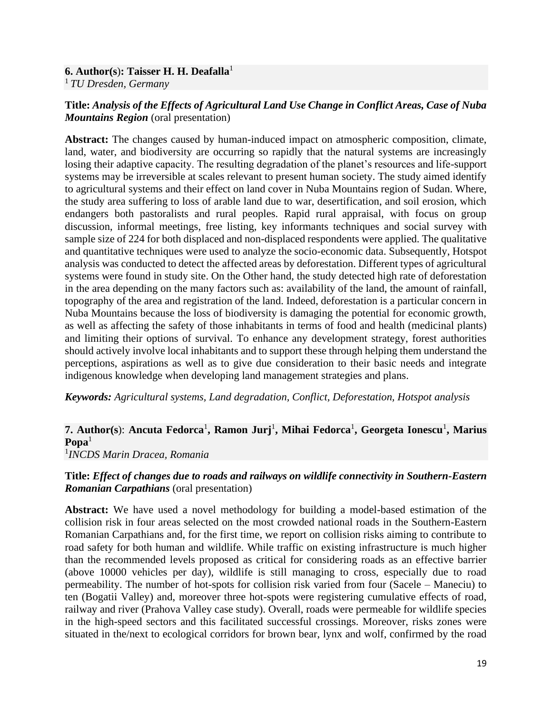#### **6. Author(s**)**: Taisser H. H. Deafalla**<sup>1</sup>

<sup>1</sup> *TU Dresden, Germany*

# **Title:** *Analysis of the Effects of Agricultural Land Use Change in Conflict Areas, Case of Nuba Mountains Region* (oral presentation)

**Abstract:** The changes caused by human-induced impact on atmospheric composition, climate, land, water, and biodiversity are occurring so rapidly that the natural systems are increasingly losing their adaptive capacity. The resulting degradation of the planet's resources and life-support systems may be irreversible at scales relevant to present human society. The study aimed identify to agricultural systems and their effect on land cover in Nuba Mountains region of Sudan. Where, the study area suffering to loss of arable land due to war, desertification, and soil erosion, which endangers both pastoralists and rural peoples. Rapid rural appraisal, with focus on group discussion, informal meetings, free listing, key informants techniques and social survey with sample size of 224 for both displaced and non-displaced respondents were applied. The qualitative and quantitative techniques were used to analyze the socio-economic data. Subsequently, Hotspot analysis was conducted to detect the affected areas by deforestation. Different types of agricultural systems were found in study site. On the Other hand, the study detected high rate of deforestation in the area depending on the many factors such as: availability of the land, the amount of rainfall, topography of the area and registration of the land. Indeed, deforestation is a particular concern in Nuba Mountains because the loss of biodiversity is damaging the potential for economic growth, as well as affecting the safety of those inhabitants in terms of food and health (medicinal plants) and limiting their options of survival. To enhance any development strategy, forest authorities should actively involve local inhabitants and to support these through helping them understand the perceptions, aspirations as well as to give due consideration to their basic needs and integrate indigenous knowledge when developing land management strategies and plans.

*Keywords: Agricultural systems, Land degradation, Conflict, Deforestation, Hotspot analysis*

# **7. Author(s**): **Ancuta Fedorca**<sup>1</sup> **, Ramon Jurj**<sup>1</sup> **, Mihai Fedorca**<sup>1</sup> **, Georgeta Ionescu**<sup>1</sup> **, Marius Popa**<sup>1</sup>

1 *INCDS Marin Dracea, Romania*

## **Title:** *Effect of changes due to roads and railways on wildlife connectivity in Southern-Eastern Romanian Carpathians* (oral presentation)

**Abstract:** We have used a novel methodology for building a model-based estimation of the collision risk in four areas selected on the most crowded national roads in the Southern-Eastern Romanian Carpathians and, for the first time, we report on collision risks aiming to contribute to road safety for both human and wildlife. While traffic on existing infrastructure is much higher than the recommended levels proposed as critical for considering roads as an effective barrier (above 10000 vehicles per day), wildlife is still managing to cross, especially due to road permeability. The number of hot-spots for collision risk varied from four (Sacele – Maneciu) to ten (Bogatii Valley) and, moreover three hot-spots were registering cumulative effects of road, railway and river (Prahova Valley case study). Overall, roads were permeable for wildlife species in the high-speed sectors and this facilitated successful crossings. Moreover, risks zones were situated in the/next to ecological corridors for brown bear, lynx and wolf, confirmed by the road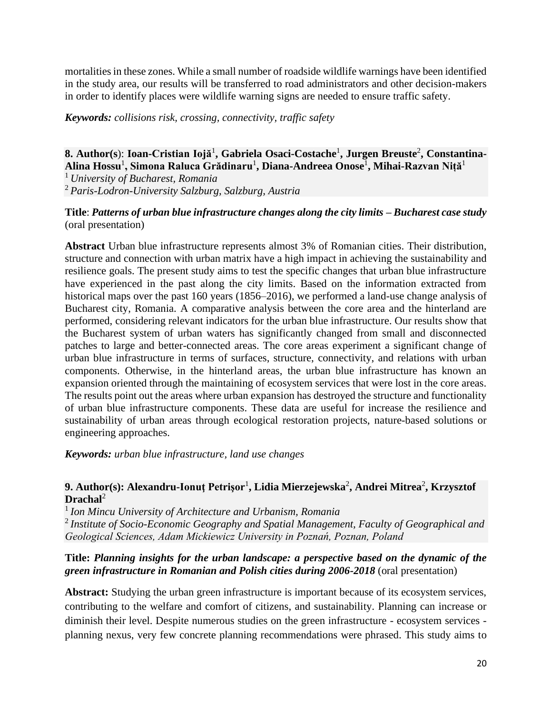mortalities in these zones. While a small number of roadside wildlife warnings have been identified in the study area, our results will be transferred to road administrators and other decision-makers in order to identify places were wildlife warning signs are needed to ensure traffic safety.

*Keywords: collisions risk, crossing, connectivity, traffic safety*

# **8. Author(s**): **Ioan-Cristian Iojă**<sup>1</sup> **, Gabriela Osaci-Costache**<sup>1</sup> **, Jurgen Breuste**<sup>2</sup> **, Constantina-**Alina Hossu<sup>1</sup>, Simona Raluca Grădinaru<sup>1</sup>, Diana-Andreea Onose<sup>1</sup>, Mihai-Razvan Niță<sup>1</sup>

<sup>1</sup> *University of Bucharest, Romania*

<sup>2</sup>*Paris-Lodron-University Salzburg, Salzburg, Austria*

## **Title**: *Patterns of urban blue infrastructure changes along the city limits – Bucharest case study* (oral presentation)

**Abstract** Urban blue infrastructure represents almost 3% of Romanian cities. Their distribution, structure and connection with urban matrix have a high impact in achieving the sustainability and resilience goals. The present study aims to test the specific changes that urban blue infrastructure have experienced in the past along the city limits. Based on the information extracted from historical maps over the past 160 years (1856–2016), we performed a land-use change analysis of Bucharest city, Romania. A comparative analysis between the core area and the hinterland are performed, considering relevant indicators for the urban blue infrastructure. Our results show that the Bucharest system of urban waters has significantly changed from small and disconnected patches to large and better-connected areas. The core areas experiment a significant change of urban blue infrastructure in terms of surfaces, structure, connectivity, and relations with urban components. Otherwise, in the hinterland areas, the urban blue infrastructure has known an expansion oriented through the maintaining of ecosystem services that were lost in the core areas. The results point out the areas where urban expansion has destroyed the structure and functionality of urban blue infrastructure components. These data are useful for increase the resilience and sustainability of urban areas through ecological restoration projects, nature-based solutions or engineering approaches.

*Keywords: urban blue infrastructure, land use changes*

## **9. Author(s): Alexandru-Ionuţ Petrişor**<sup>1</sup> **, Lidia Mierzejewska**<sup>2</sup> **, Andrei Mitrea**<sup>2</sup> **, Krzysztof Drachal**<sup>2</sup>

1 *Ion Mincu University of Architecture and Urbanism, Romania*

2 *Institute of Socio-Economic Geography and Spatial Management, Faculty of Geographical and Geological Sciences, Adam Mickiewicz University in Poznań, Poznan, Poland*

## **Title:** *Planning insights for the urban landscape: a perspective based on the dynamic of the green infrastructure in Romanian and Polish cities during 2006-2018* (oral presentation)

**Abstract:** Studying the urban green infrastructure is important because of its ecosystem services, contributing to the welfare and comfort of citizens, and sustainability. Planning can increase or diminish their level. Despite numerous studies on the green infrastructure - ecosystem services planning nexus, very few concrete planning recommendations were phrased. This study aims to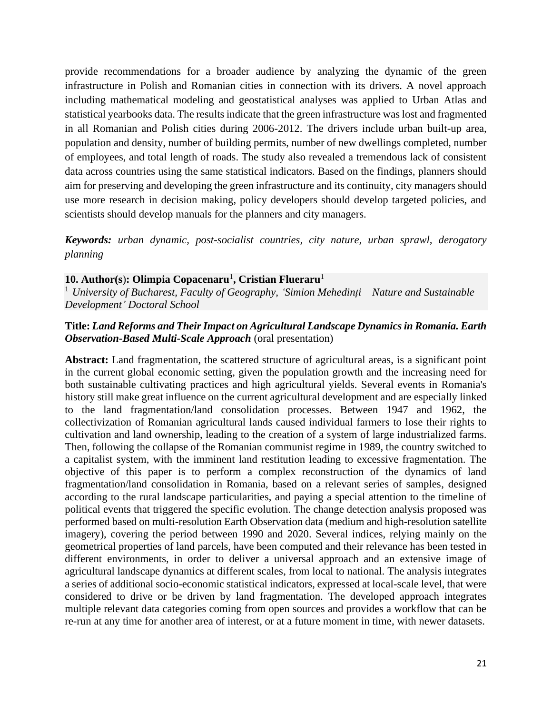provide recommendations for a broader audience by analyzing the dynamic of the green infrastructure in Polish and Romanian cities in connection with its drivers. A novel approach including mathematical modeling and geostatistical analyses was applied to Urban Atlas and statistical yearbooks data. The results indicate that the green infrastructure was lost and fragmented in all Romanian and Polish cities during 2006-2012. The drivers include urban built-up area, population and density, number of building permits, number of new dwellings completed, number of employees, and total length of roads. The study also revealed a tremendous lack of consistent data across countries using the same statistical indicators. Based on the findings, planners should aim for preserving and developing the green infrastructure and its continuity, city managers should use more research in decision making, policy developers should develop targeted policies, and scientists should develop manuals for the planners and city managers.

*Keywords: urban dynamic, post-socialist countries, city nature, urban sprawl, derogatory planning*

## 10. Author(s): Olimpia Copacenaru<sup>1</sup>, Cristian Flueraru<sup>1</sup>

<sup>1</sup>*University of Bucharest, Faculty of Geography, 'Simion Mehedinți – Nature and Sustainable Development' Doctoral School*

## **Title:** *Land Reforms and Their Impact on Agricultural Landscape Dynamics in Romania. Earth Observation-Based Multi-Scale Approach* (oral presentation)

**Abstract:** Land fragmentation, the scattered structure of agricultural areas, is a significant point in the current global economic setting, given the population growth and the increasing need for both sustainable cultivating practices and high agricultural yields. Several events in Romania's history still make great influence on the current agricultural development and are especially linked to the land fragmentation/land consolidation processes. Between 1947 and 1962, the collectivization of Romanian agricultural lands caused individual farmers to lose their rights to cultivation and land ownership, leading to the creation of a system of large industrialized farms. Then, following the collapse of the Romanian communist regime in 1989, the country switched to a capitalist system, with the imminent land restitution leading to excessive fragmentation. The objective of this paper is to perform a complex reconstruction of the dynamics of land fragmentation/land consolidation in Romania, based on a relevant series of samples, designed according to the rural landscape particularities, and paying a special attention to the timeline of political events that triggered the specific evolution. The change detection analysis proposed was performed based on multi-resolution Earth Observation data (medium and high-resolution satellite imagery), covering the period between 1990 and 2020. Several indices, relying mainly on the geometrical properties of land parcels, have been computed and their relevance has been tested in different environments, in order to deliver a universal approach and an extensive image of agricultural landscape dynamics at different scales, from local to national. The analysis integrates a series of additional socio-economic statistical indicators, expressed at local-scale level, that were considered to drive or be driven by land fragmentation. The developed approach integrates multiple relevant data categories coming from open sources and provides a workflow that can be re-run at any time for another area of interest, or at a future moment in time, with newer datasets.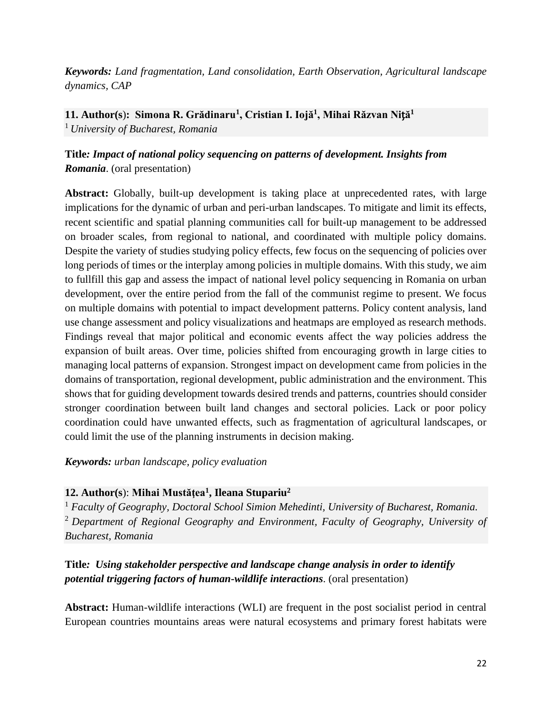*Keywords: Land fragmentation, Land consolidation, Earth Observation, Agricultural landscape dynamics, CAP*

**11. Author(s**)**: Simona R. Grădinaru<sup>1</sup> , Cristian I. Iojă<sup>1</sup> , Mihai Răzvan Ni**ț**ă 1**

<sup>1</sup> *University of Bucharest, Romania*

# **Title***: Impact of national policy sequencing on patterns of development. Insights from Romania*. (oral presentation)

**Abstract:** Globally, built-up development is taking place at unprecedented rates, with large implications for the dynamic of urban and peri-urban landscapes. To mitigate and limit its effects, recent scientific and spatial planning communities call for built-up management to be addressed on broader scales, from regional to national, and coordinated with multiple policy domains. Despite the variety of studies studying policy effects, few focus on the sequencing of policies over long periods of times or the interplay among policies in multiple domains. With this study, we aim to fullfill this gap and assess the impact of national level policy sequencing in Romania on urban development, over the entire period from the fall of the communist regime to present. We focus on multiple domains with potential to impact development patterns. Policy content analysis, land use change assessment and policy visualizations and heatmaps are employed as research methods. Findings reveal that major political and economic events affect the way policies address the expansion of built areas. Over time, policies shifted from encouraging growth in large cities to managing local patterns of expansion. Strongest impact on development came from policies in the domains of transportation, regional development, public administration and the environment. This shows that for guiding development towards desired trends and patterns, countries should consider stronger coordination between built land changes and sectoral policies. Lack or poor policy coordination could have unwanted effects, such as fragmentation of agricultural landscapes, or could limit the use of the planning instruments in decision making.

# *Keywords: urban landscape, policy evaluation*

# **12. Author(s**): **Mihai Mustăţea<sup>1</sup> , Ileana Stupariu<sup>2</sup>**

<sup>1</sup> *Faculty of Geography, Doctoral School Simion Mehedinti, University of Bucharest, Romania.* <sup>2</sup> *Department of Regional Geography and Environment, Faculty of Geography, University of Bucharest, Romania*

# **Title***: Using stakeholder perspective and landscape change analysis in order to identify potential triggering factors of human-wildlife interactions*. (oral presentation)

**Abstract:** Human-wildlife interactions (WLI) are frequent in the post socialist period in central European countries mountains areas were natural ecosystems and primary forest habitats were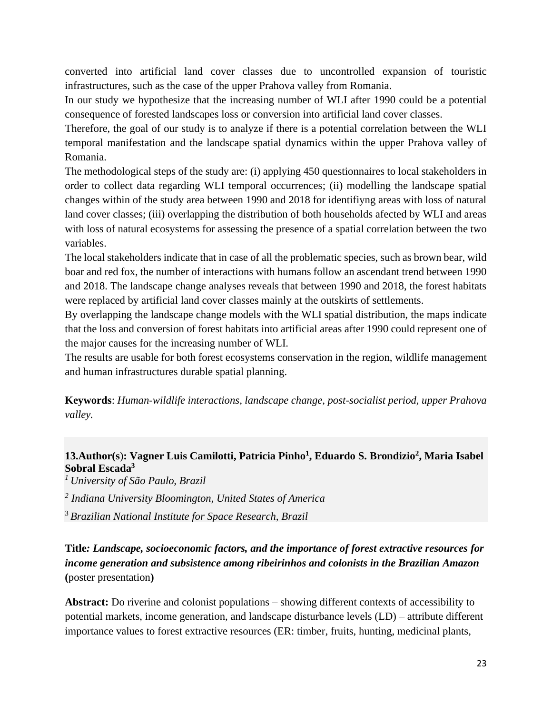converted into artificial land cover classes due to uncontrolled expansion of touristic infrastructures, such as the case of the upper Prahova valley from Romania.

In our study we hypothesize that the increasing number of WLI after 1990 could be a potential consequence of forested landscapes loss or conversion into artificial land cover classes.

Therefore, the goal of our study is to analyze if there is a potential correlation between the WLI temporal manifestation and the landscape spatial dynamics within the upper Prahova valley of Romania.

The methodological steps of the study are: (i) applying 450 questionnaires to local stakeholders in order to collect data regarding WLI temporal occurrences; (ii) modelling the landscape spatial changes within of the study area between 1990 and 2018 for identifiyng areas with loss of natural land cover classes; (iii) overlapping the distribution of both households afected by WLI and areas with loss of natural ecosystems for assessing the presence of a spatial correlation between the two variables.

The local stakeholders indicate that in case of all the problematic species, such as brown bear, wild boar and red fox, the number of interactions with humans follow an ascendant trend between 1990 and 2018. The landscape change analyses reveals that between 1990 and 2018, the forest habitats were replaced by artificial land cover classes mainly at the outskirts of settlements.

By overlapping the landscape change models with the WLI spatial distribution, the maps indicate that the loss and conversion of forest habitats into artificial areas after 1990 could represent one of the major causes for the increasing number of WLI.

The results are usable for both forest ecosystems conservation in the region, wildlife management and human infrastructures durable spatial planning.

**Keywords**: *Human-wildlife interactions, landscape change, post-socialist period, upper Prahova valley.*

# **13.Author(s**)**: Vagner Luis Camilotti, Patricia Pinho<sup>1</sup> , Eduardo S. Brondizio<sup>2</sup> , Maria Isabel Sobral Escada<sup>3</sup>**

*<sup>1</sup> University of São Paulo, Brazil*

*2 Indiana University Bloomington, United States of America*

<sup>3</sup> *Brazilian National Institute for Space Research, Brazil*

**Title***: Landscape, socioeconomic factors, and the importance of forest extractive resources for income generation and subsistence among ribeirinhos and colonists in the Brazilian Amazon* **(**poster presentation**)**

**Abstract:** Do riverine and colonist populations – showing different contexts of accessibility to potential markets, income generation, and landscape disturbance levels (LD) – attribute different importance values to forest extractive resources (ER: timber, fruits, hunting, medicinal plants,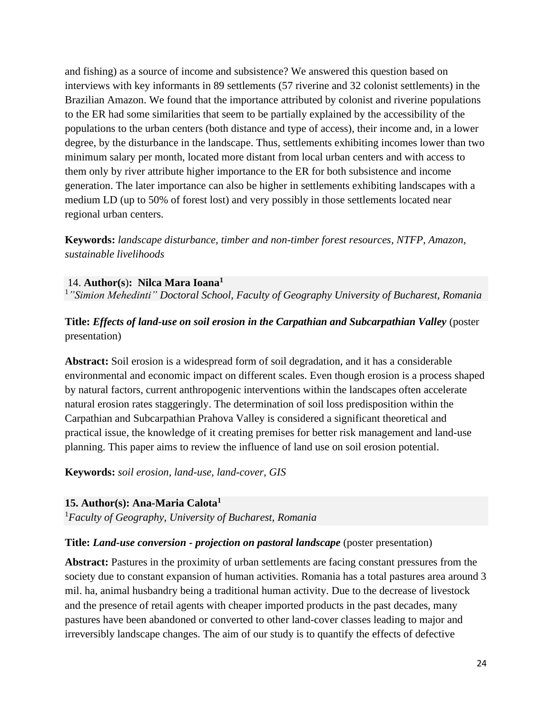and fishing) as a source of income and subsistence? We answered this question based on interviews with key informants in 89 settlements (57 riverine and 32 colonist settlements) in the Brazilian Amazon. We found that the importance attributed by colonist and riverine populations to the ER had some similarities that seem to be partially explained by the accessibility of the populations to the urban centers (both distance and type of access), their income and, in a lower degree, by the disturbance in the landscape. Thus, settlements exhibiting incomes lower than two minimum salary per month, located more distant from local urban centers and with access to them only by river attribute higher importance to the ER for both subsistence and income generation. The later importance can also be higher in settlements exhibiting landscapes with a medium LD (up to 50% of forest lost) and very possibly in those settlements located near regional urban centers.

**Keywords:** *landscape disturbance, timber and non-timber forest resources, NTFP, Amazon, sustainable livelihoods*

#### 14. **Author(s**)**: Nilca Mara Ioana<sup>1</sup>**

<sup>1</sup>*"Simion Mehedinti" Doctoral School, Faculty of Geography University of Bucharest, Romania*

# **Title:** *Effects of land-use on soil erosion in the Carpathian and Subcarpathian Valley* (poster presentation)

**Abstract:** Soil erosion is a widespread form of soil degradation, and it has a considerable environmental and economic impact on different scales. Even though erosion is a process shaped by natural factors, current anthropogenic interventions within the landscapes often accelerate natural erosion rates staggeringly. The determination of soil loss predisposition within the Carpathian and Subcarpathian Prahova Valley is considered a significant theoretical and practical issue, the knowledge of it creating premises for better risk management and land-use planning. This paper aims to review the influence of land use on soil erosion potential.

## **Keywords:** *soil erosion, land-use, land-cover, GIS*

#### **15. Author(s): Ana-Maria Calota<sup>1</sup>**

<sup>1</sup>*Faculty of Geography, University of Bucharest, Romania*

## **Title:** *Land-use conversion - projection on pastoral landscape* (poster presentation)

**Abstract:** Pastures in the proximity of urban settlements are facing constant pressures from the society due to constant expansion of human activities. Romania has a total pastures area around 3 mil. ha, animal husbandry being a traditional human activity. Due to the decrease of livestock and the presence of retail agents with cheaper imported products in the past decades, many pastures have been abandoned or converted to other land-cover classes leading to major and irreversibly landscape changes. The aim of our study is to quantify the effects of defective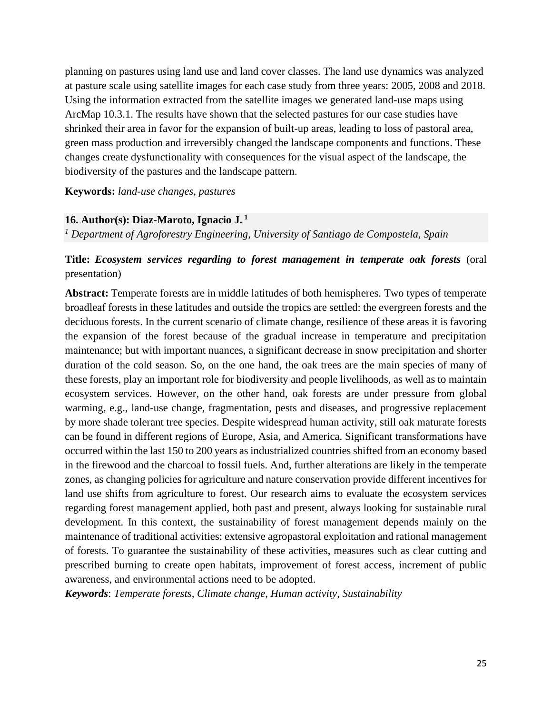planning on pastures using land use and land cover classes. The land use dynamics was analyzed at pasture scale using satellite images for each case study from three years: 2005, 2008 and 2018. Using the information extracted from the satellite images we generated land-use maps using ArcMap 10.3.1. The results have shown that the selected pastures for our case studies have shrinked their area in favor for the expansion of built-up areas, leading to loss of pastoral area, green mass production and irreversibly changed the landscape components and functions. These changes create dysfunctionality with consequences for the visual aspect of the landscape, the biodiversity of the pastures and the landscape pattern.

#### **Keywords:** *land-use changes, pastures*

#### **16. Author(s): Diaz-Maroto, Ignacio J. <sup>1</sup>**

*<sup>1</sup> Department of Agroforestry Engineering, University of Santiago de Compostela, Spain*

# **Title:** *Ecosystem services regarding to forest management in temperate oak forests* (oral presentation)

**Abstract:** Temperate forests are in middle latitudes of both hemispheres. Two types of temperate broadleaf forests in these latitudes and outside the tropics are settled: the evergreen forests and the deciduous forests. In the current scenario of climate change, resilience of these areas it is favoring the expansion of the forest because of the gradual increase in temperature and precipitation maintenance; but with important nuances, a significant decrease in snow precipitation and shorter duration of the cold season. So, on the one hand, the oak trees are the main species of many of these forests, play an important role for biodiversity and people livelihoods, as well as to maintain ecosystem services. However, on the other hand, oak forests are under pressure from global warming, e.g., land-use change, fragmentation, pests and diseases, and progressive replacement by more shade tolerant tree species. Despite widespread human activity, still oak maturate forests can be found in different regions of Europe, Asia, and America. Significant transformations have occurred within the last 150 to 200 years as industrialized countries shifted from an economy based in the firewood and the charcoal to fossil fuels. And, further alterations are likely in the temperate zones, as changing policies for agriculture and nature conservation provide different incentives for land use shifts from agriculture to forest. Our research aims to evaluate the ecosystem services regarding forest management applied, both past and present, always looking for sustainable rural development. In this context, the sustainability of forest management depends mainly on the maintenance of traditional activities: extensive agropastoral exploitation and rational management of forests. To guarantee the sustainability of these activities, measures such as clear cutting and prescribed burning to create open habitats, improvement of forest access, increment of public awareness, and environmental actions need to be adopted.

*Keywords*: *Temperate forests, Climate change, Human activity, Sustainability*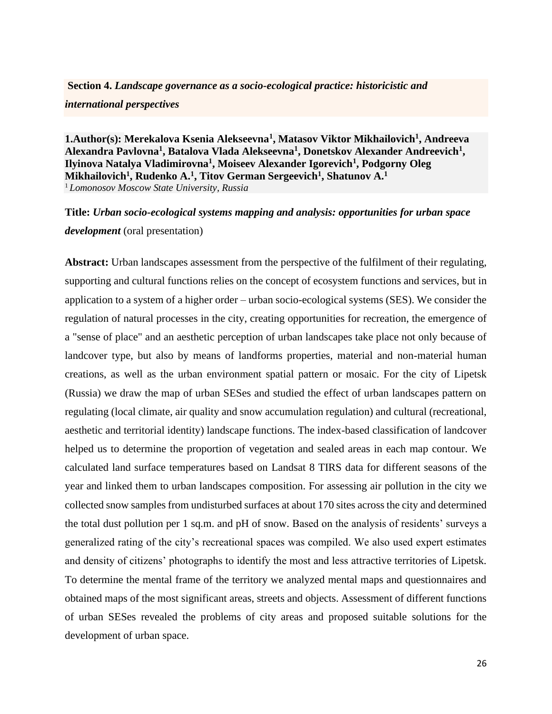# **Section 4.** *Landscape governance as a socio-ecological practice: historicistic and international perspectives*

**1.Author(s): Merekalova Ksenia Alekseevna<sup>1</sup> , Matasov Viktor Mikhailovich<sup>1</sup> , Andreeva Alexandra Pavlovna<sup>1</sup> , Batalova Vlada Alekseevna<sup>1</sup> , Donetskov Alexander Andreevich<sup>1</sup> , Ilyinova Natalya Vladimirovna<sup>1</sup> , Moiseev Alexander Igorevich<sup>1</sup> , Podgorny Oleg Mikhailovich<sup>1</sup> , Rudenko A.<sup>1</sup> , Titov German Sergeevich<sup>1</sup> , Shatunov A.<sup>1</sup>** <sup>1</sup> *Lomonosov Moscow State University, Russia*

**Title:** *Urban socio-ecological systems mapping and analysis: opportunities for urban space development* (oral presentation)

**Abstract:** Urban landscapes assessment from the perspective of the fulfilment of their regulating, supporting and cultural functions relies on the concept of ecosystem functions and services, but in application to a system of a higher order – urban socio-ecological systems (SES). We consider the regulation of natural processes in the city, creating opportunities for recreation, the emergence of a "sense of place" and an aesthetic perception of urban landscapes take place not only because of landcover type, but also by means of landforms properties, material and non-material human creations, as well as the urban environment spatial pattern or mosaic. For the city of Lipetsk (Russia) we draw the map of urban SESes and studied the effect of urban landscapes pattern on regulating (local climate, air quality and snow accumulation regulation) and cultural (recreational, aesthetic and territorial identity) landscape functions. The index-based classification of landcover helped us to determine the proportion of vegetation and sealed areas in each map contour. We calculated land surface temperatures based on Landsat 8 TIRS data for different seasons of the year and linked them to urban landscapes composition. For assessing air pollution in the city we collected snow samples from undisturbed surfaces at about 170 sites across the city and determined the total dust pollution per 1 sq.m. and pH of snow. Based on the analysis of residents' surveys a generalized rating of the city's recreational spaces was compiled. We also used expert estimates and density of citizens' photographs to identify the most and less attractive territories of Lipetsk. To determine the mental frame of the territory we analyzed mental maps and questionnaires and obtained maps of the most significant areas, streets and objects. Assessment of different functions of urban SESes revealed the problems of city areas and proposed suitable solutions for the development of urban space.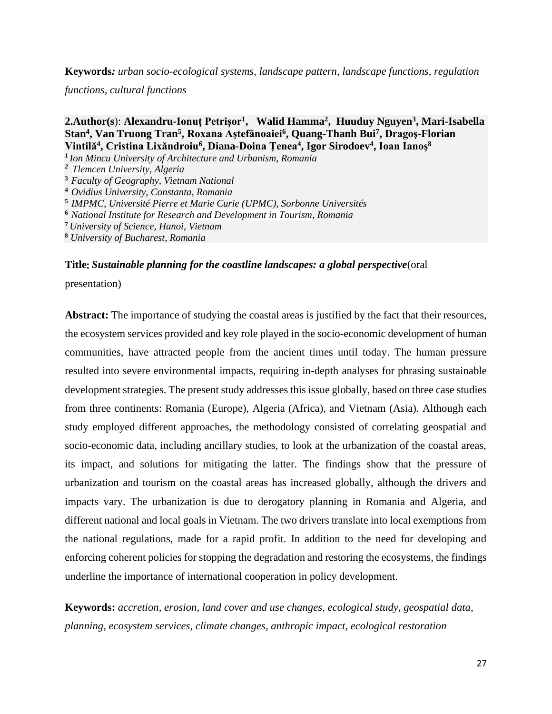**Keywords***: urban socio-ecological systems, landscape pattern, landscape functions, regulation functions, cultural functions*

**2.Author(s**): **Alexandru-Ionuţ Petrişor<sup>1</sup> , Walid Hamma<sup>2</sup> , Huuduy Nguyen<sup>3</sup> , Mari-Isabella Stan<sup>4</sup> , Van Truong Tran<sup>5</sup> , Roxana Aştefănoaiei<sup>6</sup> , Quang-Thanh Bui<sup>7</sup> , Dragoş-Florian Vintilă<sup>4</sup> , Cristina Lixăndroiu<sup>6</sup> , Diana-Doina Ţenea<sup>4</sup> , Igor Sirodoev<sup>4</sup> , Ioan Ianoş<sup>8</sup>**

**1** *Ion Mincu University of Architecture and Urbanism, Romania*

*<sup>2</sup> Tlemcen University, Algeria*

**<sup>3</sup>***Faculty of Geography, Vietnam National*

**<sup>4</sup>***Ovidius University, Constanta, Romania*

**<sup>5</sup>***IMPMC, Université Pierre et Marie Curie (UPMC), Sorbonne Universités*

**<sup>6</sup>***National Institute for Research and Development in Tourism, Romania*

**<sup>7</sup>** *University of Science, Hanoi, Vietnam*

**<sup>8</sup>** *University of Bucharest, Romania*

**Title**: *Sustainable planning for the coastline landscapes: a global perspective*(oral

presentation)

**Abstract:** The importance of studying the coastal areas is justified by the fact that their resources, the ecosystem services provided and key role played in the socio-economic development of human communities, have attracted people from the ancient times until today. The human pressure resulted into severe environmental impacts, requiring in-depth analyses for phrasing sustainable development strategies. The present study addresses this issue globally, based on three case studies from three continents: Romania (Europe), Algeria (Africa), and Vietnam (Asia). Although each study employed different approaches, the methodology consisted of correlating geospatial and socio-economic data, including ancillary studies, to look at the urbanization of the coastal areas, its impact, and solutions for mitigating the latter. The findings show that the pressure of urbanization and tourism on the coastal areas has increased globally, although the drivers and impacts vary. The urbanization is due to derogatory planning in Romania and Algeria, and different national and local goals in Vietnam. The two drivers translate into local exemptions from the national regulations, made for a rapid profit. In addition to the need for developing and enforcing coherent policies for stopping the degradation and restoring the ecosystems, the findings underline the importance of international cooperation in policy development.

**Keywords:** *accretion, erosion, land cover and use changes, ecological study, geospatial data, planning, ecosystem services, climate changes, anthropic impact, ecological restoration*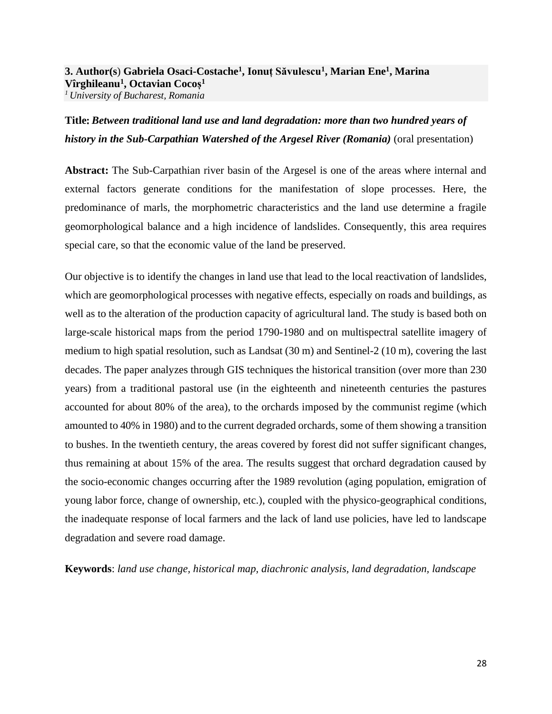#### **3. Author(s**) **Gabriela Osaci-Costache<sup>1</sup> , Ionuț Săvulescu<sup>1</sup> , Marian Ene<sup>1</sup> , Marina Vîrghileanu<sup>1</sup> , Octavian Cocoș 1** *<sup>1</sup>University of Bucharest, Romania*

# **Title**: *Between traditional land use and land degradation: more than two hundred years of history in the Sub-Carpathian Watershed of the Argesel River (Romania)* (oral presentation)

**Abstract:** The Sub-Carpathian river basin of the Argesel is one of the areas where internal and external factors generate conditions for the manifestation of slope processes. Here, the predominance of marls, the morphometric characteristics and the land use determine a fragile geomorphological balance and a high incidence of landslides. Consequently, this area requires special care, so that the economic value of the land be preserved.

Our objective is to identify the changes in land use that lead to the local reactivation of landslides, which are geomorphological processes with negative effects, especially on roads and buildings, as well as to the alteration of the production capacity of agricultural land. The study is based both on large-scale historical maps from the period 1790-1980 and on multispectral satellite imagery of medium to high spatial resolution, such as Landsat (30 m) and Sentinel-2 (10 m), covering the last decades. The paper analyzes through GIS techniques the historical transition (over more than 230 years) from a traditional pastoral use (in the eighteenth and nineteenth centuries the pastures accounted for about 80% of the area), to the orchards imposed by the communist regime (which amounted to 40% in 1980) and to the current degraded orchards, some of them showing a transition to bushes. In the twentieth century, the areas covered by forest did not suffer significant changes, thus remaining at about 15% of the area. The results suggest that orchard degradation caused by the socio-economic changes occurring after the 1989 revolution (aging population, emigration of young labor force, change of ownership, etc.), coupled with the physico-geographical conditions, the inadequate response of local farmers and the lack of land use policies, have led to landscape degradation and severe road damage.

**Keywords**: *land use change, historical map, diachronic analysis, land degradation, landscape*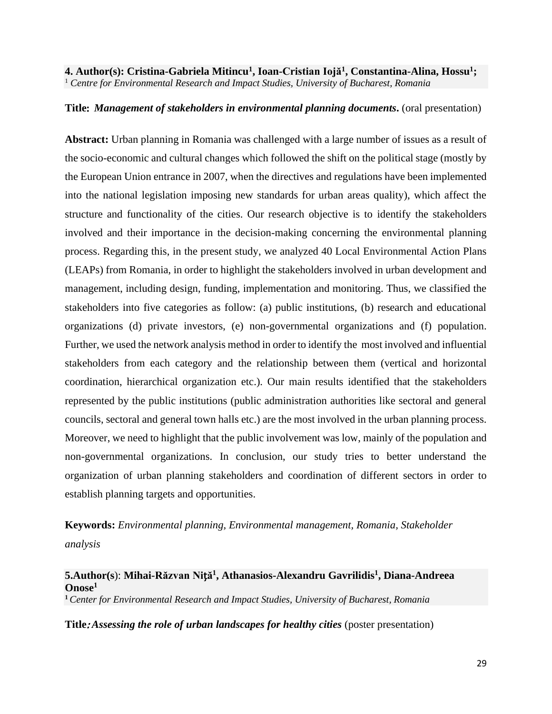**4. Author(s): Cristina-Gabriela Mitincu<sup>1</sup> , Ioan-Cristian Iojă<sup>1</sup> , Constantina-Alina, Hossu<sup>1</sup> ;** <sup>1</sup> *Centre for Environmental Research and Impact Studies, University of Bucharest, Romania*

#### **Title**: *Management of stakeholders in environmental planning documents***.** (oral presentation)

**Abstract:** Urban planning in Romania was challenged with a large number of issues as a result of the socio-economic and cultural changes which followed the shift on the political stage (mostly by the European Union entrance in 2007, when the directives and regulations have been implemented into the national legislation imposing new standards for urban areas quality), which affect the structure and functionality of the cities. Our research objective is to identify the stakeholders involved and their importance in the decision-making concerning the environmental planning process. Regarding this, in the present study, we analyzed 40 Local Environmental Action Plans (LEAPs) from Romania, in order to highlight the stakeholders involved in urban development and management, including design, funding, implementation and monitoring. Thus, we classified the stakeholders into five categories as follow: (a) public institutions, (b) research and educational organizations (d) private investors, (e) non-governmental organizations and (f) population. Further, we used the network analysis method in order to identify the most involved and influential stakeholders from each category and the relationship between them (vertical and horizontal coordination, hierarchical organization etc.). Our main results identified that the stakeholders represented by the public institutions (public administration authorities like sectoral and general councils, sectoral and general town halls etc.) are the most involved in the urban planning process. Moreover, we need to highlight that the public involvement was low, mainly of the population and non-governmental organizations. In conclusion, our study tries to better understand the organization of urban planning stakeholders and coordination of different sectors in order to establish planning targets and opportunities.

**Keywords:** *Environmental planning, Environmental management, Romania, Stakeholder analysis*

# **5.Author(s**): **Mihai-Răzvan Ni**ț**ă 1 , Athanasios-Alexandru Gavrilidis<sup>1</sup> , Diana-Andreea Onose<sup>1</sup>**

**<sup>1</sup>***Center for Environmental Research and Impact Studies, University of Bucharest, Romania*

**Title**: *Assessing the role of urban landscapes for healthy cities* (poster presentation)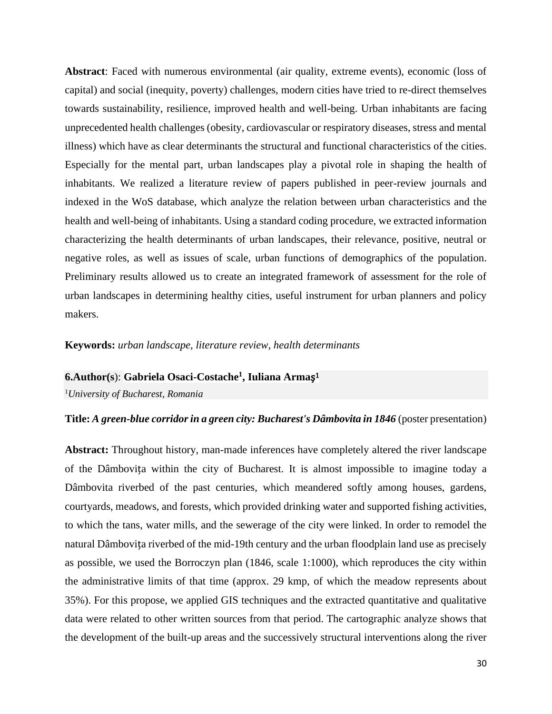**Abstract**: Faced with numerous environmental (air quality, extreme events), economic (loss of capital) and social (inequity, poverty) challenges, modern cities have tried to re-direct themselves towards sustainability, resilience, improved health and well-being. Urban inhabitants are facing unprecedented health challenges (obesity, cardiovascular or respiratory diseases, stress and mental illness) which have as clear determinants the structural and functional characteristics of the cities. Especially for the mental part, urban landscapes play a pivotal role in shaping the health of inhabitants. We realized a literature review of papers published in peer-review journals and indexed in the WoS database, which analyze the relation between urban characteristics and the health and well-being of inhabitants. Using a standard coding procedure, we extracted information characterizing the health determinants of urban landscapes, their relevance, positive, neutral or negative roles, as well as issues of scale, urban functions of demographics of the population. Preliminary results allowed us to create an integrated framework of assessment for the role of urban landscapes in determining healthy cities, useful instrument for urban planners and policy makers.

#### **Keywords:** *urban landscape, literature review, health determinants*

#### **6.Author(s**): **Gabriela Osaci-Costache<sup>1</sup> , Iuliana Arma**ș 1

<sup>1</sup>*University of Bucharest, Romania*

#### **Title:** *A green-blue corridor in a green city: Bucharest's Dâmbovita in 1846* (poster presentation)

**Abstract:** Throughout history, man-made inferences have completely altered the river landscape of the Dâmbovița within the city of Bucharest. It is almost impossible to imagine today a Dâmbovita riverbed of the past centuries, which meandered softly among houses, gardens, courtyards, meadows, and forests, which provided drinking water and supported fishing activities, to which the tans, water mills, and the sewerage of the city were linked. In order to remodel the natural Dâmbovița riverbed of the mid-19th century and the urban floodplain land use as precisely as possible, we used the Borroczyn plan (1846, scale 1:1000), which reproduces the city within the administrative limits of that time (approx. 29 kmp, of which the meadow represents about 35%). For this propose, we applied GIS techniques and the extracted quantitative and qualitative data were related to other written sources from that period. The cartographic analyze shows that the development of the built-up areas and the successively structural interventions along the river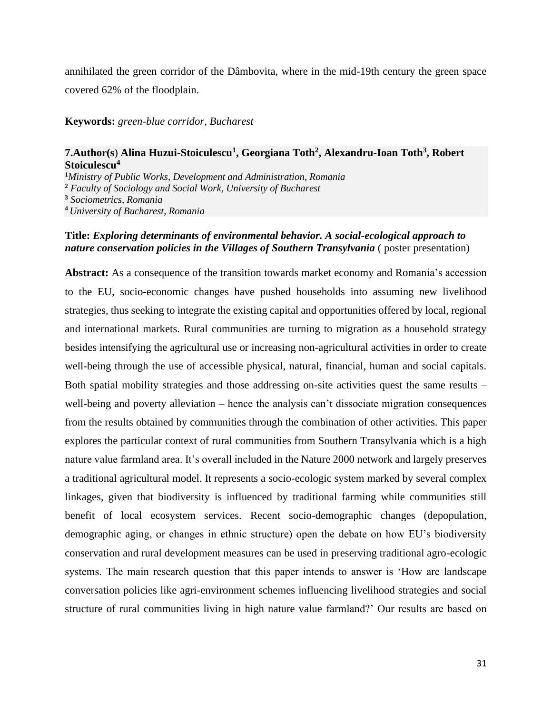annihilated the green corridor of the Dâmbovita, where in the mid-19th century the green space covered 62% of the floodplain.

**Keywords:** *green-blue corridor, Bucharest*

#### **7.Author(s**) **Alina Huzui-Stoiculescu<sup>1</sup> , Georgiana Toth<sup>2</sup> , Alexandru-Ioan Toth<sup>3</sup> , Robert Stoiculescu<sup>4</sup>**

*Ministry of Public Works, Development and Administration, Romania Faculty of Sociology and Social Work, University of Bucharest Sociometrics, Romania University of Bucharest, Romania*

#### **Title:** *Exploring determinants of environmental behavior. A social-ecological approach to nature conservation policies in the Villages of Southern Transylvania* ( poster presentation)

**Abstract:** As a consequence of the transition towards market economy and Romania's accession to the EU, socio-economic changes have pushed households into assuming new livelihood strategies, thus seeking to integrate the existing capital and opportunities offered by local, regional and international markets. Rural communities are turning to migration as a household strategy besides intensifying the agricultural use or increasing non-agricultural activities in order to create well-being through the use of accessible physical, natural, financial, human and social capitals. Both spatial mobility strategies and those addressing on-site activities quest the same results – well-being and poverty alleviation – hence the analysis can't dissociate migration consequences from the results obtained by communities through the combination of other activities. This paper explores the particular context of rural communities from Southern Transylvania which is a high nature value farmland area. It's overall included in the Nature 2000 network and largely preserves a traditional agricultural model. It represents a socio-ecologic system marked by several complex linkages, given that biodiversity is influenced by traditional farming while communities still benefit of local ecosystem services. Recent socio-demographic changes (depopulation, demographic aging, or changes in ethnic structure) open the debate on how EU's biodiversity conservation and rural development measures can be used in preserving traditional agro-ecologic systems. The main research question that this paper intends to answer is 'How are landscape conversation policies like agri-environment schemes influencing livelihood strategies and social structure of rural communities living in high nature value farmland?' Our results are based on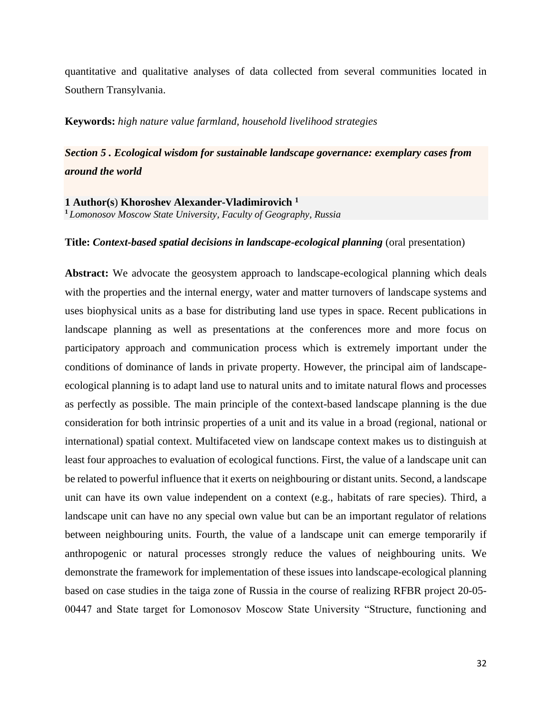quantitative and qualitative analyses of data collected from several communities located in Southern Transylvania.

**Keywords:** *high nature value farmland, household livelihood strategies*

*Section 5 . Ecological wisdom for sustainable landscape governance: exemplary cases from around the world*

**1 Author(s**) **Khoroshev Alexander-Vladimirovich <sup>1</sup> <sup>1</sup>***Lomonosov Moscow State University, Faculty of Geography, Russia*

#### **Title:** *Context-based spatial decisions in landscape-ecological planning* (oral presentation)

**Abstract:** We advocate the geosystem approach to landscape-ecological planning which deals with the properties and the internal energy, water and matter turnovers of landscape systems and uses biophysical units as a base for distributing land use types in space. Recent publications in landscape planning as well as presentations at the conferences more and more focus on participatory approach and communication process which is extremely important under the conditions of dominance of lands in private property. However, the principal aim of landscapeecological planning is to adapt land use to natural units and to imitate natural flows and processes as perfectly as possible. The main principle of the context-based landscape planning is the due consideration for both intrinsic properties of a unit and its value in a broad (regional, national or international) spatial context. Multifaceted view on landscape context makes us to distinguish at least four approaches to evaluation of ecological functions. First, the value of a landscape unit can be related to powerful influence that it exerts on neighbouring or distant units. Second, a landscape unit can have its own value independent on a context (e.g., habitats of rare species). Third, a landscape unit can have no any special own value but can be an important regulator of relations between neighbouring units. Fourth, the value of a landscape unit can emerge temporarily if anthropogenic or natural processes strongly reduce the values of neighbouring units. We demonstrate the framework for implementation of these issues into landscape-ecological planning based on case studies in the taiga zone of Russia in the course of realizing RFBR project 20-05- 00447 and State target for Lomonosov Moscow State University "Structure, functioning and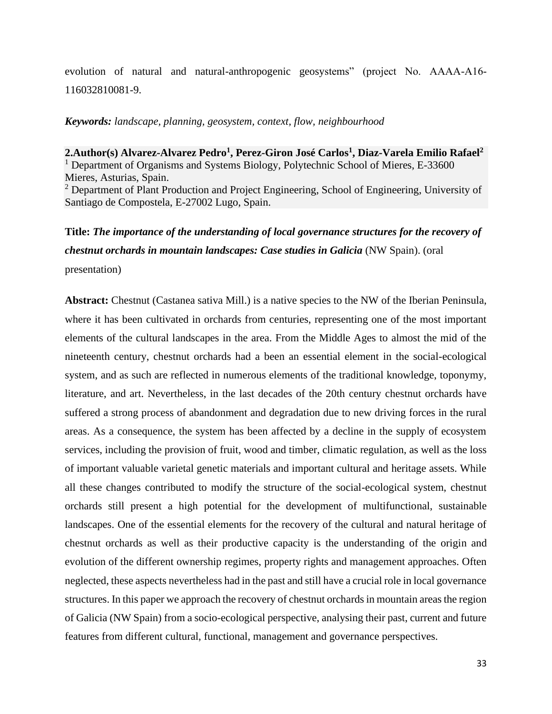evolution of natural and natural-anthropogenic geosystems" (project No. АААА-А16- 116032810081-9.

*Keywords: landscape, planning, geosystem, context, flow, neighbourhood*

**2.Author(s) Alvarez-Alvarez Pedro<sup>1</sup> , Perez-Giron José Carlos<sup>1</sup> , Diaz-Varela Emilio Rafael<sup>2</sup>** <sup>1</sup> Department of Organisms and Systems Biology, Polytechnic School of Mieres, E-33600 Mieres, Asturias, Spain.  $<sup>2</sup>$  Department of Plant Production and Project Engineering, School of Engineering, University of</sup> Santiago de Compostela, E-27002 Lugo, Spain.

**Title:** *The importance of the understanding of local governance structures for the recovery of chestnut orchards in mountain landscapes: Case studies in Galicia* (NW Spain). (oral presentation)

**Abstract:** Chestnut (Castanea sativa Mill.) is a native species to the NW of the Iberian Peninsula, where it has been cultivated in orchards from centuries, representing one of the most important elements of the cultural landscapes in the area. From the Middle Ages to almost the mid of the nineteenth century, chestnut orchards had a been an essential element in the social-ecological system, and as such are reflected in numerous elements of the traditional knowledge, toponymy, literature, and art. Nevertheless, in the last decades of the 20th century chestnut orchards have suffered a strong process of abandonment and degradation due to new driving forces in the rural areas. As a consequence, the system has been affected by a decline in the supply of ecosystem services, including the provision of fruit, wood and timber, climatic regulation, as well as the loss of important valuable varietal genetic materials and important cultural and heritage assets. While all these changes contributed to modify the structure of the social-ecological system, chestnut orchards still present a high potential for the development of multifunctional, sustainable landscapes. One of the essential elements for the recovery of the cultural and natural heritage of chestnut orchards as well as their productive capacity is the understanding of the origin and evolution of the different ownership regimes, property rights and management approaches. Often neglected, these aspects nevertheless had in the past and still have a crucial role in local governance structures. In this paper we approach the recovery of chestnut orchards in mountain areas the region of Galicia (NW Spain) from a socio-ecological perspective, analysing their past, current and future features from different cultural, functional, management and governance perspectives.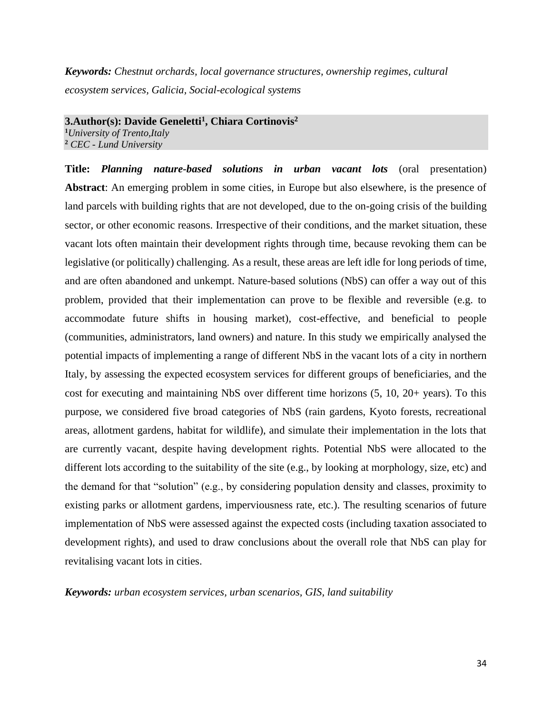*Keywords: Chestnut orchards, local governance structures, ownership regimes, cultural ecosystem services, Galicia, Social-ecological systems*

#### **3.Author(s): Davide Geneletti<sup>1</sup> , Chiara Cortinovis<sup>2</sup> <sup>1</sup>***University of Trento,Italy* **<sup>2</sup>** *CEC - Lund University*

**Title:** *Planning nature-based solutions in urban vacant lots* (oral presentation) **Abstract**: An emerging problem in some cities, in Europe but also elsewhere, is the presence of land parcels with building rights that are not developed, due to the on-going crisis of the building sector, or other economic reasons. Irrespective of their conditions, and the market situation, these vacant lots often maintain their development rights through time, because revoking them can be legislative (or politically) challenging. As a result, these areas are left idle for long periods of time, and are often abandoned and unkempt. Nature-based solutions (NbS) can offer a way out of this problem, provided that their implementation can prove to be flexible and reversible (e.g. to accommodate future shifts in housing market), cost-effective, and beneficial to people (communities, administrators, land owners) and nature. In this study we empirically analysed the potential impacts of implementing a range of different NbS in the vacant lots of a city in northern Italy, by assessing the expected ecosystem services for different groups of beneficiaries, and the cost for executing and maintaining NbS over different time horizons (5, 10, 20+ years). To this purpose, we considered five broad categories of NbS (rain gardens, Kyoto forests, recreational areas, allotment gardens, habitat for wildlife), and simulate their implementation in the lots that are currently vacant, despite having development rights. Potential NbS were allocated to the different lots according to the suitability of the site (e.g., by looking at morphology, size, etc) and the demand for that "solution" (e.g., by considering population density and classes, proximity to existing parks or allotment gardens, imperviousness rate, etc.). The resulting scenarios of future implementation of NbS were assessed against the expected costs (including taxation associated to development rights), and used to draw conclusions about the overall role that NbS can play for revitalising vacant lots in cities.

*Keywords: urban ecosystem services, urban scenarios, GIS, land suitability*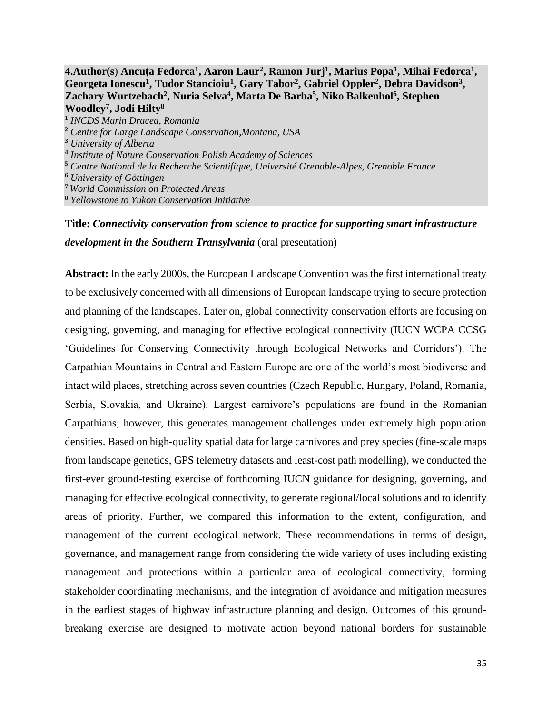**4.Author(s**) **Ancuța Fedorca<sup>1</sup> , Aaron Laur<sup>2</sup> , Ramon Jurj<sup>1</sup> , Marius Popa<sup>1</sup> , Mihai Fedorca<sup>1</sup> , Georgeta Ionescu<sup>1</sup> , Tudor Stancioiu<sup>1</sup> , Gary Tabor<sup>2</sup> , Gabriel Oppler<sup>2</sup> , Debra Davidson<sup>3</sup> , Zachary Wurtzebach<sup>2</sup> , Nuria Selva<sup>4</sup> , Marta De Barba<sup>5</sup> , Niko Balkenhol<sup>6</sup> , Stephen Woodley<sup>7</sup> , Jodi Hilty<sup>8</sup> 1** *INCDS Marin Dracea, Romania* **<sup>2</sup>** *Centre for Large Landscape Conservation,Montana, USA*

**<sup>3</sup>** *University of Alberta*

**4** *Institute of Nature Conservation Polish Academy of Sciences*

**<sup>5</sup>** *Centre National de la Recherche Scientifique, Université Grenoble-Alpes, Grenoble France*

**<sup>6</sup>** *University of Göttingen*

**<sup>7</sup>***World Commission on Protected Areas*

**<sup>8</sup>** *Yellowstone to Yukon Conservation Initiative*

**Title:** *Connectivity conservation from science to practice for supporting smart infrastructure development in the Southern Transylvania* (oral presentation)

**Abstract:** In the early 2000s, the European Landscape Convention was the first international treaty to be exclusively concerned with all dimensions of European landscape trying to secure protection and planning of the landscapes. Later on, global connectivity conservation efforts are focusing on designing, governing, and managing for effective ecological connectivity (IUCN WCPA CCSG 'Guidelines for Conserving Connectivity through Ecological Networks and Corridors'). The Carpathian Mountains in Central and Eastern Europe are one of the world's most biodiverse and intact wild places, stretching across seven countries (Czech Republic, Hungary, Poland, Romania, Serbia, Slovakia, and Ukraine). Largest carnivore's populations are found in the Romanian Carpathians; however, this generates management challenges under extremely high population densities. Based on high-quality spatial data for large carnivores and prey species (fine-scale maps from landscape genetics, GPS telemetry datasets and least-cost path modelling), we conducted the first-ever ground-testing exercise of forthcoming IUCN guidance for designing, governing, and managing for effective ecological connectivity, to generate regional/local solutions and to identify areas of priority. Further, we compared this information to the extent, configuration, and management of the current ecological network. These recommendations in terms of design, governance, and management range from considering the wide variety of uses including existing management and protections within a particular area of ecological connectivity, forming stakeholder coordinating mechanisms, and the integration of avoidance and mitigation measures in the earliest stages of highway infrastructure planning and design. Outcomes of this groundbreaking exercise are designed to motivate action beyond national borders for sustainable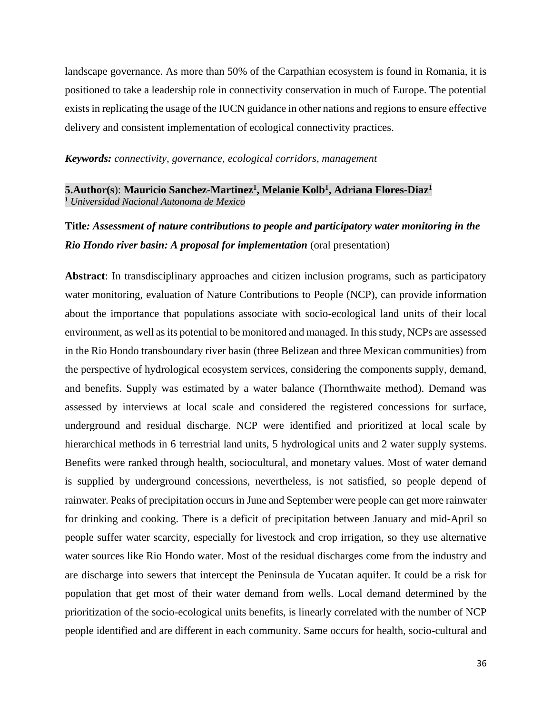landscape governance. As more than 50% of the Carpathian ecosystem is found in Romania, it is positioned to take a leadership role in connectivity conservation in much of Europe. The potential exists in replicating the usage of the IUCN guidance in other nations and regions to ensure effective delivery and consistent implementation of ecological connectivity practices.

#### *Keywords: connectivity, governance, ecological corridors, management*

#### **5.Author(s**): **Mauricio Sanchez-Martinez<sup>1</sup> , Melanie Kolb<sup>1</sup> , Adriana Flores-Diaz<sup>1</sup> <sup>1</sup>** *Universidad Nacional Autonoma de Mexico*

# **Title***: Assessment of nature contributions to people and participatory water monitoring in the Rio Hondo river basin: A proposal for implementation* (oral presentation)

**Abstract**: In transdisciplinary approaches and citizen inclusion programs, such as participatory water monitoring, evaluation of Nature Contributions to People (NCP), can provide information about the importance that populations associate with socio-ecological land units of their local environment, as well as its potential to be monitored and managed. In this study, NCPs are assessed in the Rio Hondo transboundary river basin (three Belizean and three Mexican communities) from the perspective of hydrological ecosystem services, considering the components supply, demand, and benefits. Supply was estimated by a water balance (Thornthwaite method). Demand was assessed by interviews at local scale and considered the registered concessions for surface, underground and residual discharge. NCP were identified and prioritized at local scale by hierarchical methods in 6 terrestrial land units, 5 hydrological units and 2 water supply systems. Benefits were ranked through health, sociocultural, and monetary values. Most of water demand is supplied by underground concessions, nevertheless, is not satisfied, so people depend of rainwater. Peaks of precipitation occurs in June and September were people can get more rainwater for drinking and cooking. There is a deficit of precipitation between January and mid-April so people suffer water scarcity, especially for livestock and crop irrigation, so they use alternative water sources like Rio Hondo water. Most of the residual discharges come from the industry and are discharge into sewers that intercept the Peninsula de Yucatan aquifer. It could be a risk for population that get most of their water demand from wells. Local demand determined by the prioritization of the socio-ecological units benefits, is linearly correlated with the number of NCP people identified and are different in each community. Same occurs for health, socio-cultural and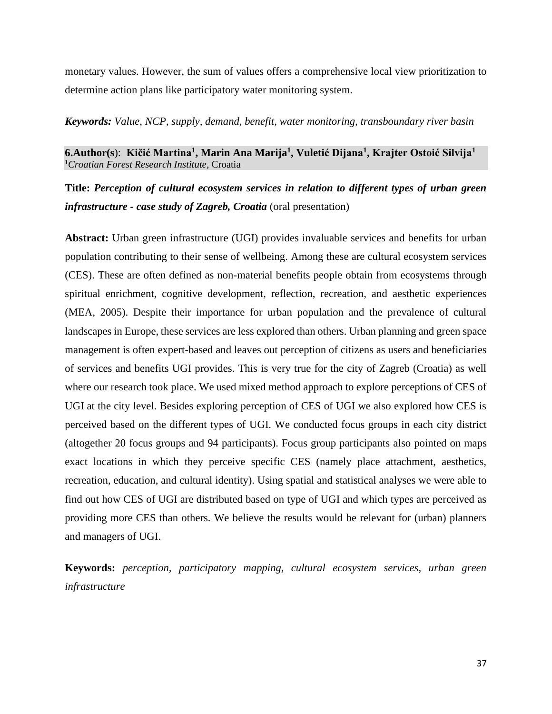monetary values. However, the sum of values offers a comprehensive local view prioritization to determine action plans like participatory water monitoring system.

*Keywords: Value, NCP, supply, demand, benefit, water monitoring, transboundary river basin*

#### **6.Author(s**): **Kičić Martina<sup>1</sup> , Marin Ana Marija<sup>1</sup> , Vuletić Dijana<sup>1</sup> , Krajter Ostoić Silvija<sup>1</sup> <sup>1</sup>***Croatian Forest Research Institute,* Croatia

**Title:** *Perception of cultural ecosystem services in relation to different types of urban green infrastructure - case study of Zagreb, Croatia* (oral presentation)

**Abstract:** Urban green infrastructure (UGI) provides invaluable services and benefits for urban population contributing to their sense of wellbeing. Among these are cultural ecosystem services (CES). These are often defined as non-material benefits people obtain from ecosystems through spiritual enrichment, cognitive development, reflection, recreation, and aesthetic experiences (MEA, 2005). Despite their importance for urban population and the prevalence of cultural landscapes in Europe, these services are less explored than others. Urban planning and green space management is often expert-based and leaves out perception of citizens as users and beneficiaries of services and benefits UGI provides. This is very true for the city of Zagreb (Croatia) as well where our research took place. We used mixed method approach to explore perceptions of CES of UGI at the city level. Besides exploring perception of CES of UGI we also explored how CES is perceived based on the different types of UGI. We conducted focus groups in each city district (altogether 20 focus groups and 94 participants). Focus group participants also pointed on maps exact locations in which they perceive specific CES (namely place attachment, aesthetics, recreation, education, and cultural identity). Using spatial and statistical analyses we were able to find out how CES of UGI are distributed based on type of UGI and which types are perceived as providing more CES than others. We believe the results would be relevant for (urban) planners and managers of UGI.

**Keywords:** *perception, participatory mapping, cultural ecosystem services, urban green infrastructure*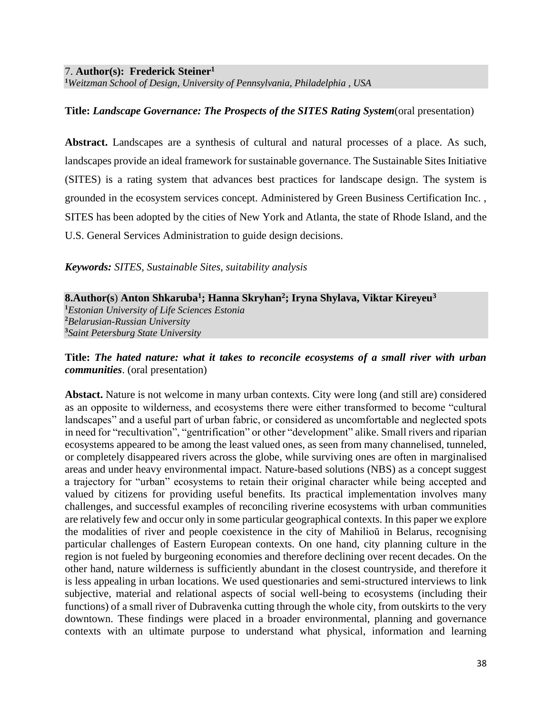#### 7. **Author(s): Frederick Steiner<sup>1</sup>**

**<sup>1</sup>***Weitzman School of Design, University of Pennsylvania, Philadelphia , USA*

#### **Title:** *Landscape Governance: The Prospects of the SITES Rating System*(oral presentation)

**Abstract.** Landscapes are a synthesis of cultural and natural processes of a place. As such, landscapes provide an ideal framework for sustainable governance. The Sustainable Sites Initiative (SITES) is a rating system that advances best practices for landscape design. The system is grounded in the ecosystem services concept. Administered by Green Business Certification Inc. , SITES has been adopted by the cities of New York and Atlanta, the state of Rhode Island, and the U.S. General Services Administration to guide design decisions.

*Keywords: SITES, Sustainable Sites, suitability analysis*

**8.Author(s**) **Anton Shkaruba<sup>1</sup> ; Hanna Skryhan<sup>2</sup> ; Iryna Shylava, Viktar Kireyeu<sup>3</sup>** *Estonian University of Life Sciences Estonia Belarusian-Russian University Saint Petersburg State University*

#### **Title:** *The hated nature: what it takes to reconcile ecosystems of a small river with urban communities*. (oral presentation)

**Abstact.** Nature is not welcome in many urban contexts. City were long (and still are) considered as an opposite to wilderness, and ecosystems there were either transformed to become "cultural landscapes" and a useful part of urban fabric, or considered as uncomfortable and neglected spots in need for "recultivation", "gentrification" or other "development" alike. Small rivers and riparian ecosystems appeared to be among the least valued ones, as seen from many channelised, tunneled, or completely disappeared rivers across the globe, while surviving ones are often in marginalised areas and under heavy environmental impact. Nature-based solutions (NBS) as a concept suggest a trajectory for "urban" ecosystems to retain their original character while being accepted and valued by citizens for providing useful benefits. Its practical implementation involves many challenges, and successful examples of reconciling riverine ecosystems with urban communities are relatively few and occur only in some particular geographical contexts. In this paper we explore the modalities of river and people coexistence in the city of Mahilioŭ in Belarus, recognising particular challenges of Eastern European contexts. On one hand, city planning culture in the region is not fueled by burgeoning economies and therefore declining over recent decades. On the other hand, nature wilderness is sufficiently abundant in the closest countryside, and therefore it is less appealing in urban locations. We used questionaries and semi-structured interviews to link subjective, material and relational aspects of social well-being to ecosystems (including their functions) of a small river of Dubravenka cutting through the whole city, from outskirts to the very downtown. These findings were placed in a broader environmental, planning and governance contexts with an ultimate purpose to understand what physical, information and learning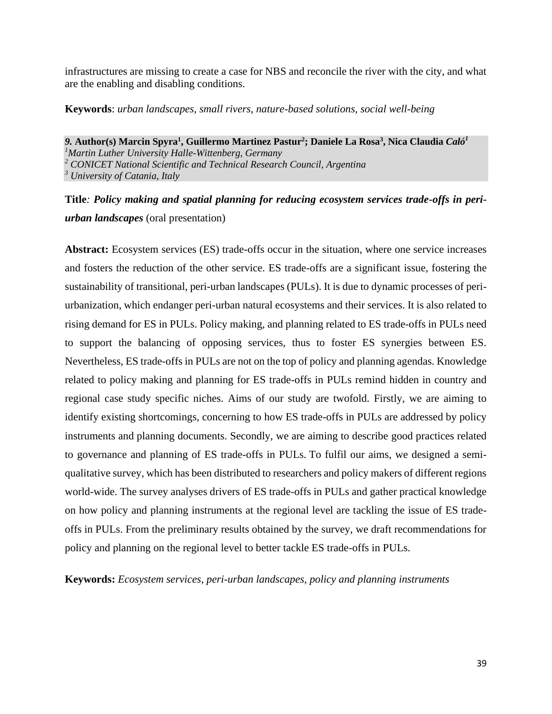infrastructures are missing to create a case for NBS and reconcile the river with the city, and what are the enabling and disabling conditions.

#### **Keywords**: *urban landscapes, small rivers, nature-based solutions, social well-being*

*9.* **Author(s) Marcin Spyra<sup>1</sup> , Guillermo Martinez Pastur<sup>2</sup> ; Daniele La Rosa<sup>3</sup> , Nica Claudia** *Caló<sup>1</sup> Martin Luther University Halle-Wittenberg, Germany CONICET National Scientific and Technical Research Council, Argentina University of Catania, Italy*

**Title***: Policy making and spatial planning for reducing ecosystem services trade-offs in periurban landscapes* (oral presentation)

**Abstract:** Ecosystem services (ES) trade-offs occur in the situation, where one service increases and fosters the reduction of the other service. ES trade-offs are a significant issue, fostering the sustainability of transitional, peri-urban landscapes (PULs). It is due to dynamic processes of periurbanization, which endanger peri-urban natural ecosystems and their services. It is also related to rising demand for ES in PULs. Policy making, and planning related to ES trade-offs in PULs need to support the balancing of opposing services, thus to foster ES synergies between ES. Nevertheless, ES trade-offs in PULs are not on the top of policy and planning agendas. Knowledge related to policy making and planning for ES trade-offs in PULs remind hidden in country and regional case study specific niches. Aims of our study are twofold. Firstly, we are aiming to identify existing shortcomings, concerning to how ES trade-offs in PULs are addressed by policy instruments and planning documents. Secondly, we are aiming to describe good practices related to governance and planning of ES trade-offs in PULs. To fulfil our aims, we designed a semiqualitative survey, which has been distributed to researchers and policy makers of different regions world-wide. The survey analyses drivers of ES trade-offs in PULs and gather practical knowledge on how policy and planning instruments at the regional level are tackling the issue of ES tradeoffs in PULs. From the preliminary results obtained by the survey, we draft recommendations for policy and planning on the regional level to better tackle ES trade-offs in PULs.

**Keywords:** *Ecosystem services, peri-urban landscapes, policy and planning instruments*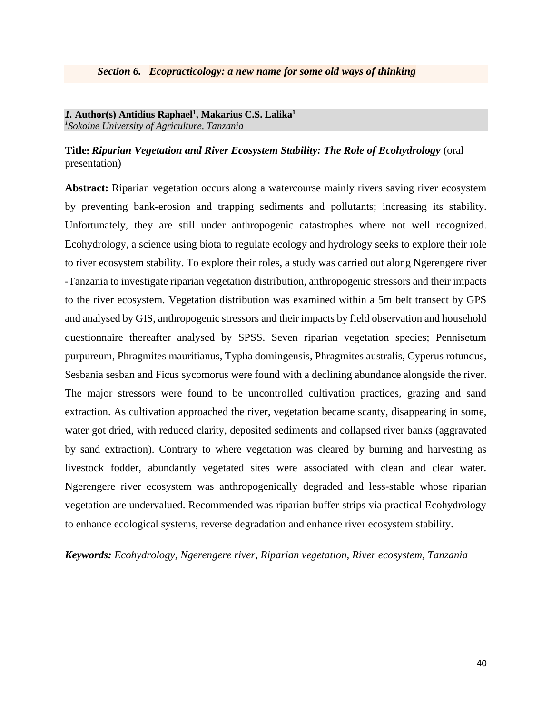#### *1.* **Author(s) Antidius Raphael<sup>1</sup> , Makarius C.S. Lalika<sup>1</sup>** *1 Sokoine University of Agriculture, Tanzania*

#### **Title**: *Riparian Vegetation and River Ecosystem Stability: The Role of Ecohydrology* (oral presentation)

**Abstract:** Riparian vegetation occurs along a watercourse mainly rivers saving river ecosystem by preventing bank-erosion and trapping sediments and pollutants; increasing its stability. Unfortunately, they are still under anthropogenic catastrophes where not well recognized. Ecohydrology, a science using biota to regulate ecology and hydrology seeks to explore their role to river ecosystem stability. To explore their roles, a study was carried out along Ngerengere river -Tanzania to investigate riparian vegetation distribution, anthropogenic stressors and their impacts to the river ecosystem. Vegetation distribution was examined within a 5m belt transect by GPS and analysed by GIS, anthropogenic stressors and their impacts by field observation and household questionnaire thereafter analysed by SPSS. Seven riparian vegetation species; Pennisetum purpureum, Phragmites mauritianus, Typha domingensis, Phragmites australis, Cyperus rotundus, Sesbania sesban and Ficus sycomorus were found with a declining abundance alongside the river. The major stressors were found to be uncontrolled cultivation practices, grazing and sand extraction. As cultivation approached the river, vegetation became scanty, disappearing in some, water got dried, with reduced clarity, deposited sediments and collapsed river banks (aggravated by sand extraction). Contrary to where vegetation was cleared by burning and harvesting as livestock fodder, abundantly vegetated sites were associated with clean and clear water. Ngerengere river ecosystem was anthropogenically degraded and less-stable whose riparian vegetation are undervalued. Recommended was riparian buffer strips via practical Ecohydrology to enhance ecological systems, reverse degradation and enhance river ecosystem stability.

*Keywords: Ecohydrology, Ngerengere river, Riparian vegetation, River ecosystem, Tanzania*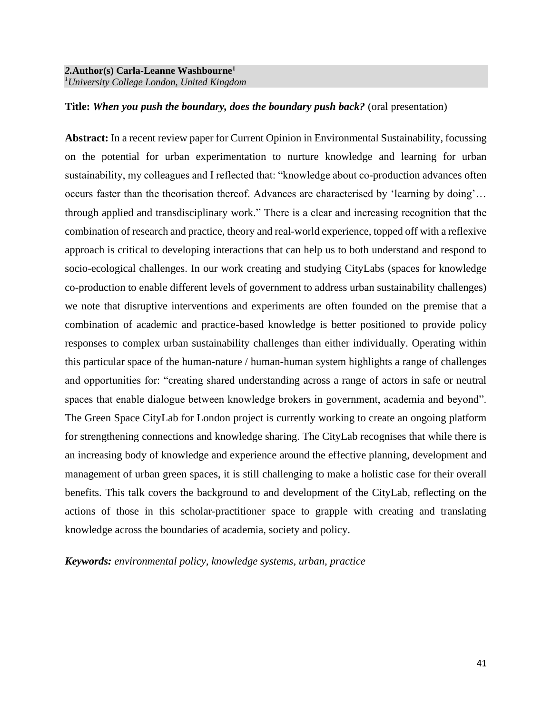#### **Title:** *When you push the boundary, does the boundary push back?* (oral presentation)

**Abstract:** In a recent review paper for Current Opinion in Environmental Sustainability, focussing on the potential for urban experimentation to nurture knowledge and learning for urban sustainability, my colleagues and I reflected that: "knowledge about co-production advances often occurs faster than the theorisation thereof. Advances are characterised by 'learning by doing'… through applied and transdisciplinary work." There is a clear and increasing recognition that the combination of research and practice, theory and real-world experience, topped off with a reflexive approach is critical to developing interactions that can help us to both understand and respond to socio-ecological challenges. In our work creating and studying CityLabs (spaces for knowledge co-production to enable different levels of government to address urban sustainability challenges) we note that disruptive interventions and experiments are often founded on the premise that a combination of academic and practice-based knowledge is better positioned to provide policy responses to complex urban sustainability challenges than either individually. Operating within this particular space of the human-nature / human-human system highlights a range of challenges and opportunities for: "creating shared understanding across a range of actors in safe or neutral spaces that enable dialogue between knowledge brokers in government, academia and beyond". The Green Space CityLab for London project is currently working to create an ongoing platform for strengthening connections and knowledge sharing. The CityLab recognises that while there is an increasing body of knowledge and experience around the effective planning, development and management of urban green spaces, it is still challenging to make a holistic case for their overall benefits. This talk covers the background to and development of the CityLab, reflecting on the actions of those in this scholar-practitioner space to grapple with creating and translating knowledge across the boundaries of academia, society and policy.

*Keywords: environmental policy, knowledge systems, urban, practice*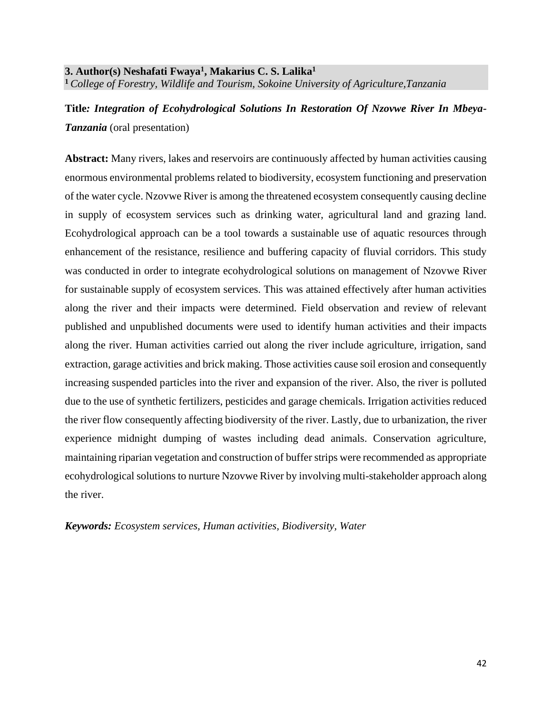**3. Author(s) Neshafati Fwaya<sup>1</sup> , Makarius C. S. Lalika<sup>1</sup> <sup>1</sup>***College of Forestry, Wildlife and Tourism, Sokoine University of Agriculture,Tanzania*

**Title***: Integration of Ecohydrological Solutions In Restoration Of Nzovwe River In Mbeya-Tanzania* (oral presentation)

**Abstract:** Many rivers, lakes and reservoirs are continuously affected by human activities causing enormous environmental problems related to biodiversity, ecosystem functioning and preservation of the water cycle. Nzovwe River is among the threatened ecosystem consequently causing decline in supply of ecosystem services such as drinking water, agricultural land and grazing land. Ecohydrological approach can be a tool towards a sustainable use of aquatic resources through enhancement of the resistance, resilience and buffering capacity of fluvial corridors. This study was conducted in order to integrate ecohydrological solutions on management of Nzovwe River for sustainable supply of ecosystem services. This was attained effectively after human activities along the river and their impacts were determined. Field observation and review of relevant published and unpublished documents were used to identify human activities and their impacts along the river. Human activities carried out along the river include agriculture, irrigation, sand extraction, garage activities and brick making. Those activities cause soil erosion and consequently increasing suspended particles into the river and expansion of the river. Also, the river is polluted due to the use of synthetic fertilizers, pesticides and garage chemicals. Irrigation activities reduced the river flow consequently affecting biodiversity of the river. Lastly, due to urbanization, the river experience midnight dumping of wastes including dead animals. Conservation agriculture, maintaining riparian vegetation and construction of buffer strips were recommended as appropriate ecohydrological solutions to nurture Nzovwe River by involving multi-stakeholder approach along the river.

*Keywords: Ecosystem services, Human activities, Biodiversity, Water*